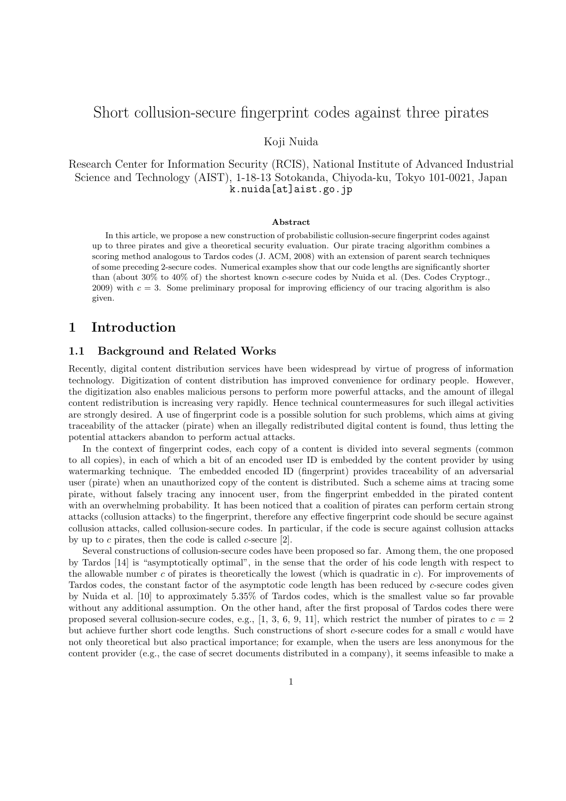# Short collusion-secure fingerprint codes against three pirates

### Koji Nuida

Research Center for Information Security (RCIS), National Institute of Advanced Industrial Science and Technology (AIST), 1-18-13 Sotokanda, Chiyoda-ku, Tokyo 101-0021, Japan k.nuida[at]aist.go.jp

#### **Abstract**

In this article, we propose a new construction of probabilistic collusion-secure fingerprint codes against up to three pirates and give a theoretical security evaluation. Our pirate tracing algorithm combines a scoring method analogous to Tardos codes (J. ACM, 2008) with an extension of parent search techniques of some preceding 2-secure codes. Numerical examples show that our code lengths are significantly shorter than (about 30% to 40% of) the shortest known *c*-secure codes by Nuida et al. (Des. Codes Cryptogr.,  $2009$ ) with  $c = 3$ . Some preliminary proposal for improving efficiency of our tracing algorithm is also given.

### **1 Introduction**

#### **1.1 Background and Related Works**

Recently, digital content distribution services have been widespread by virtue of progress of information technology. Digitization of content distribution has improved convenience for ordinary people. However, the digitization also enables malicious persons to perform more powerful attacks, and the amount of illegal content redistribution is increasing very rapidly. Hence technical countermeasures for such illegal activities are strongly desired. A use of fingerprint code is a possible solution for such problems, which aims at giving traceability of the attacker (pirate) when an illegally redistributed digital content is found, thus letting the potential attackers abandon to perform actual attacks.

In the context of fingerprint codes, each copy of a content is divided into several segments (common to all copies), in each of which a bit of an encoded user ID is embedded by the content provider by using watermarking technique. The embedded encoded ID (fingerprint) provides traceability of an adversarial user (pirate) when an unauthorized copy of the content is distributed. Such a scheme aims at tracing some pirate, without falsely tracing any innocent user, from the fingerprint embedded in the pirated content with an overwhelming probability. It has been noticed that a coalition of pirates can perform certain strong attacks (collusion attacks) to the fingerprint, therefore any effective fingerprint code should be secure against collusion attacks, called collusion-secure codes. In particular, if the code is secure against collusion attacks by up to *c* pirates, then the code is called *c*-secure [2].

Several constructions of collusion-secure codes have been proposed so far. Among them, the one proposed by Tardos [14] is "asymptotically optimal", in the sense that the order of his code length with respect to the allowable number *c* of pirates is theoretically the lowest (which is quadratic in *c*). For improvements of Tardos codes, the constant factor of the asymptotic code length has been reduced by *c*-secure codes given by Nuida et al. [10] to approximately 5*.*35% of Tardos codes, which is the smallest value so far provable without any additional assumption. On the other hand, after the first proposal of Tardos codes there were proposed several collusion-secure codes, e.g.,  $[1, 3, 6, 9, 11]$ , which restrict the number of pirates to  $c = 2$ but achieve further short code lengths. Such constructions of short *c*-secure codes for a small *c* would have not only theoretical but also practical importance; for example, when the users are less anonymous for the content provider (e.g., the case of secret documents distributed in a company), it seems infeasible to make a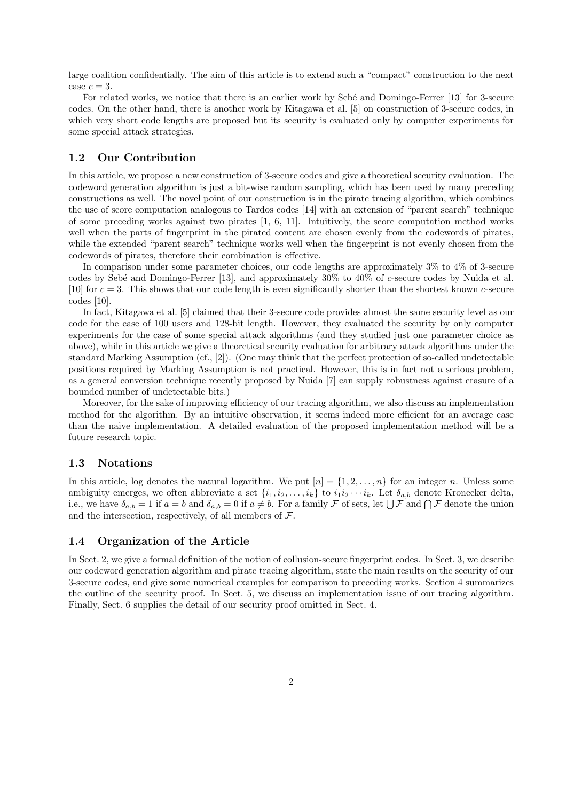large coalition confidentially. The aim of this article is to extend such a "compact" construction to the next case  $c = 3$ .

For related works, we notice that there is an earlier work by Sebé and Domingo-Ferrer [13] for 3-secure codes. On the other hand, there is another work by Kitagawa et al. [5] on construction of 3-secure codes, in which very short code lengths are proposed but its security is evaluated only by computer experiments for some special attack strategies.

### **1.2 Our Contribution**

In this article, we propose a new construction of 3-secure codes and give a theoretical security evaluation. The codeword generation algorithm is just a bit-wise random sampling, which has been used by many preceding constructions as well. The novel point of our construction is in the pirate tracing algorithm, which combines the use of score computation analogous to Tardos codes [14] with an extension of "parent search" technique of some preceding works against two pirates [1, 6, 11]. Intuitively, the score computation method works well when the parts of fingerprint in the pirated content are chosen evenly from the codewords of pirates, while the extended "parent search" technique works well when the fingerprint is not evenly chosen from the codewords of pirates, therefore their combination is effective.

In comparison under some parameter choices, our code lengths are approximately 3% to 4% of 3-secure codes by Seb´e and Domingo-Ferrer [13], and approximately 30% to 40% of *c*-secure codes by Nuida et al. [10] for *c* = 3. This shows that our code length is even significantly shorter than the shortest known *c*-secure codes [10].

In fact, Kitagawa et al. [5] claimed that their 3-secure code provides almost the same security level as our code for the case of 100 users and 128-bit length. However, they evaluated the security by only computer experiments for the case of some special attack algorithms (and they studied just one parameter choice as above), while in this article we give a theoretical security evaluation for arbitrary attack algorithms under the standard Marking Assumption (cf., [2]). (One may think that the perfect protection of so-called undetectable positions required by Marking Assumption is not practical. However, this is in fact not a serious problem, as a general conversion technique recently proposed by Nuida [7] can supply robustness against erasure of a bounded number of undetectable bits.)

Moreover, for the sake of improving efficiency of our tracing algorithm, we also discuss an implementation method for the algorithm. By an intuitive observation, it seems indeed more efficient for an average case than the naive implementation. A detailed evaluation of the proposed implementation method will be a future research topic.

#### **1.3 Notations**

In this article, log denotes the natural logarithm. We put  $[n] = \{1, 2, \ldots, n\}$  for an integer *n*. Unless some ambiguity emerges, we often abbreviate a set  $\{i_1, i_2, \ldots, i_k\}$  to  $i_1 i_2 \cdots i_k$ . Let  $\delta_{a,b}$  denote Kronecker delta, i.e., we have  $\delta_{a,b} = 1$  if  $a = b$  and  $\delta_{a,b} = 0$  if  $a \neq b$ . For a family *F* of sets, let  $\bigcup \mathcal{F}$  and  $\bigcap \mathcal{F}$  denote the union and the intersection, respectively, of all members of *F*.

#### **1.4 Organization of the Article**

In Sect. 2, we give a formal definition of the notion of collusion-secure fingerprint codes. In Sect. 3, we describe our codeword generation algorithm and pirate tracing algorithm, state the main results on the security of our 3-secure codes, and give some numerical examples for comparison to preceding works. Section 4 summarizes the outline of the security proof. In Sect. 5, we discuss an implementation issue of our tracing algorithm. Finally, Sect. 6 supplies the detail of our security proof omitted in Sect. 4.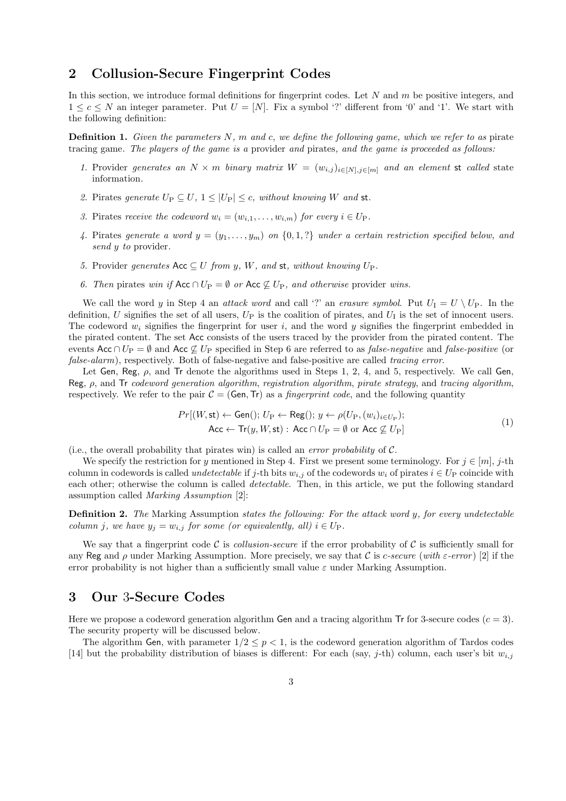# **2 Collusion-Secure Fingerprint Codes**

In this section, we introduce formal definitions for fingerprint codes. Let *N* and *m* be positive integers, and  $1 \leq c \leq N$  an integer parameter. Put  $U = [N]$ . Fix a symbol '?' different from '0' and '1'. We start with the following definition:

**Definition 1.** *Given the parameters N, m and c, we define the following game, which we refer to as* pirate tracing game*. The players of the game is a* provider *and* pirates*, and the game is proceeded as follows:*

- 1. Provider generates an  $N \times m$  binary matrix  $W = (w_{i,j})_{i \in [N], j \in [m]}$  and an element st called state information*.*
- 2. Pirates generate  $U_P \subset U$ ,  $1 \leq |U_P| \leq c$ , without knowing W and st.
- *3.* Pirates *receive the codeword*  $w_i = (w_{i,1}, \ldots, w_{i,m})$  *for every*  $i \in U_P$ *.*
- 4. Pirates generate a word  $y = (y_1, \ldots, y_m)$  on  $\{0, 1, ?\}$  under a certain restriction specified below, and *send y to* provider*.*
- *5.* Provider generates  $Acc ⊆ U$  *from y*, *W, and* **st**, without knowing  $U_P$ .
- *6. Then* pirates *win if*  $Acc ∩ U_P = ∅ or Acc ∅ U_P$ *, and otherwise* provider *wins.*

We call the word *y* in Step 4 an *attack word* and call '?' an *erasure symbol*. Put  $U_I = U \setminus U_P$ . In the definition,  $U$  signifies the set of all users,  $U_P$  is the coalition of pirates, and  $U_I$  is the set of innocent users. The codeword *w<sup>i</sup>* signifies the fingerprint for user *i*, and the word *y* signifies the fingerprint embedded in the pirated content. The set Acc consists of the users traced by the provider from the pirated content. The events Acc *∩ U*<sup>P</sup> = *∅* and Acc *̸⊆ U*<sup>P</sup> specified in Step 6 are referred to as *false-negative* and *false-positive* (or *false-alarm*), respectively. Both of false-negative and false-positive are called *tracing error*.

Let Gen, Reg, *ρ*, and Tr denote the algorithms used in Steps 1, 2, 4, and 5, respectively. We call Gen, Reg, *ρ*, and Tr *codeword generation algorithm*, *registration algorithm*, *pirate strategy*, and *tracing algorithm*, respectively. We refer to the pair  $C = (Gen, Tr)$  as a *fingerprint code*, and the following quantity

$$
Pr[(W, st) \leftarrow Gen(); U_P \leftarrow Reg(); y \leftarrow \rho(U_P, (w_i)_{i \in U_P});
$$
  
Acc  $\leftarrow Tr(y, W, st): Acc \cap U_P = \emptyset$  or Acc  $\nsubseteq U_P$  (1)

(i.e., the overall probability that pirates win) is called an *error probability* of *C*.

We specify the restriction for *y* mentioned in Step 4. First we present some terminology. For  $j \in [m]$ ,  $j$ -th column in codewords is called *undetectable* if *j*-th bits  $w_{i,j}$  of the codewords  $w_i$  of pirates  $i \in U_P$  coincide with each other; otherwise the column is called *detectable*. Then, in this article, we put the following standard assumption called *Marking Assumption* [2]:

**Definition 2.** *The* Marking Assumption *states the following: For the attack word y, for every undetectable column j*, we have  $y_j = w_{i,j}$  *for some (or equivalently, all)*  $i \in U_P$ .

We say that a fingerprint code C is *collusion-secure* if the error probability of C is sufficiently small for any Reg and *ρ* under Marking Assumption. More precisely, we say that *C* is *c-secure* (*with ε-error* ) [2] if the error probability is not higher than a sufficiently small value *ε* under Marking Assumption.

### **3 Our** 3**-Secure Codes**

Here we propose a codeword generation algorithm Gen and a tracing algorithm Tr for 3-secure codes  $(c = 3)$ . The security property will be discussed below.

The algorithm Gen, with parameter  $1/2 \leq p \leq 1$ , is the codeword generation algorithm of Tardos codes [14] but the probability distribution of biases is different: For each (say, *j*-th) column, each user's bit *wi,j*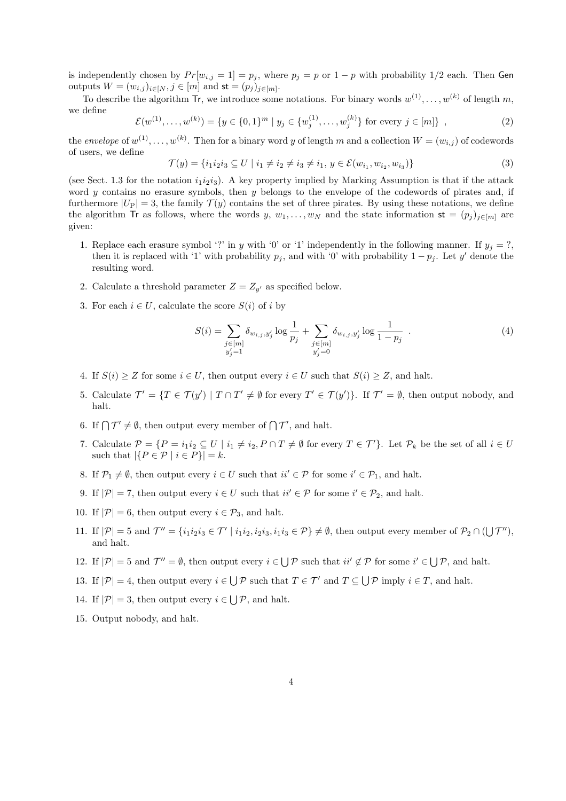is independently chosen by  $Pr[w_{i,j} = 1] = p_j$ , where  $p_j = p$  or  $1 - p$  with probability 1/2 each. Then Gen outputs  $W = (w_{i,j})_{i \in [N]}, j \in [m]$  and  $\mathsf{st} = (p_j)_{j \in [m]}.$ 

To describe the algorithm  $\textsf{Tr}$ , we introduce some notations. For binary words  $w^{(1)}, \ldots, w^{(k)}$  of length  $m$ , we define

$$
\mathcal{E}(w^{(1)}, \dots, w^{(k)}) = \{ y \in \{0, 1\}^m \mid y_j \in \{w_j^{(1)}, \dots, w_j^{(k)}\} \text{ for every } j \in [m] \},
$$
\n(2)

the *envelope* of  $w^{(1)}, \ldots, w^{(k)}$ . Then for a binary word *y* of length *m* and a collection  $W = (w_{i,j})$  of codewords of users, we define

$$
\mathcal{T}(y) = \{i_1 i_2 i_3 \subseteq U \mid i_1 \neq i_2 \neq i_3 \neq i_1, y \in \mathcal{E}(w_{i_1}, w_{i_2}, w_{i_3})\}\tag{3}
$$

(see Sect. 1.3 for the notation  $i_1i_2i_3$ ). A key property implied by Marking Assumption is that if the attack word *y* contains no erasure symbols, then *y* belongs to the envelope of the codewords of pirates and, if furthermore  $|U_P| = 3$ , the family  $\mathcal{T}(y)$  contains the set of three pirates. By using these notations, we define the algorithm Tr as follows, where the words *y*,  $w_1, \ldots, w_N$  and the state information  $st = (p_i)_{i \in [m]}$  are given:

- 1. Replace each erasure symbol '?' in *y* with '0' or '1' independently in the following manner. If  $y_j = ?$ , then it is replaced with '1' with probability  $p_j$ , and with '0' with probability  $1 - p_j$ . Let  $y'$  denote the resulting word.
- 2. Calculate a threshold parameter  $Z = Z_{y'}$  as specified below.
- 3. For each  $i \in U$ , calculate the score  $S(i)$  of *i* by

$$
S(i) = \sum_{\substack{j \in [m] \\ y'_j = 1}} \delta_{w_{i,j}, y'_j} \log \frac{1}{p_j} + \sum_{\substack{j \in [m] \\ y'_j = 0}} \delta_{w_{i,j}, y'_j} \log \frac{1}{1 - p_j} \quad . \tag{4}
$$

- 4. If  $S(i) > Z$  for some  $i \in U$ , then output every  $i \in U$  such that  $S(i) > Z$ , and halt.
- 5. Calculate  $\mathcal{T}' = \{T \in \mathcal{T}(y') \mid T \cap T' \neq \emptyset \text{ for every } T' \in \mathcal{T}(y')\}.$  If  $\mathcal{T}' = \emptyset$ , then output nobody, and halt.
- 6. If  $\bigcap \mathcal{T}' \neq \emptyset$ , then output every member of  $\bigcap \mathcal{T}'$ , and halt.
- 7. Calculate  $\mathcal{P} = \{P = i_1 i_2 \subseteq U \mid i_1 \neq i_2, P \cap T \neq \emptyset \text{ for every } T \in \mathcal{T}'\}$ . Let  $\mathcal{P}_k$  be the set of all  $i \in U$ such that  $|\{P \in \mathcal{P} \mid i \in P\}| = k$ .
- 8. If  $\mathcal{P}_1 \neq \emptyset$ , then output every  $i \in U$  such that  $ii' \in \mathcal{P}$  for some  $i' \in \mathcal{P}_1$ , and halt.
- 9. If  $|\mathcal{P}| = 7$ , then output every  $i \in U$  such that  $ii' \in \mathcal{P}$  for some  $i' \in \mathcal{P}_2$ , and halt.
- 10. If  $|\mathcal{P}| = 6$ , then output every  $i \in \mathcal{P}_3$ , and halt.
- 11. If  $|\mathcal{P}| = 5$  and  $\mathcal{T}'' = \{i_1 i_2 i_3 \in \mathcal{T}' \mid i_1 i_2, i_2 i_3, i_1 i_3 \in \mathcal{P}\}\neq \emptyset$ , then output every member of  $\mathcal{P}_2 \cap (\bigcup \mathcal{T}'')$ , and halt.
- 12. If  $|\mathcal{P}| = 5$  and  $\mathcal{T}'' = \emptyset$ , then output every  $i \in \bigcup \mathcal{P}$  such that  $ii' \notin \mathcal{P}$  for some  $i' \in \bigcup \mathcal{P}$ , and halt.
- 13. If  $|\mathcal{P}| = 4$ , then output every  $i \in \bigcup \mathcal{P}$  such that  $T \in \mathcal{T}'$  and  $T \subseteq \bigcup \mathcal{P}$  imply  $i \in T$ , and halt.
- 14. If  $|\mathcal{P}| = 3$ , then output every  $i \in \bigcup \mathcal{P}$ , and halt.
- 15. Output nobody, and halt.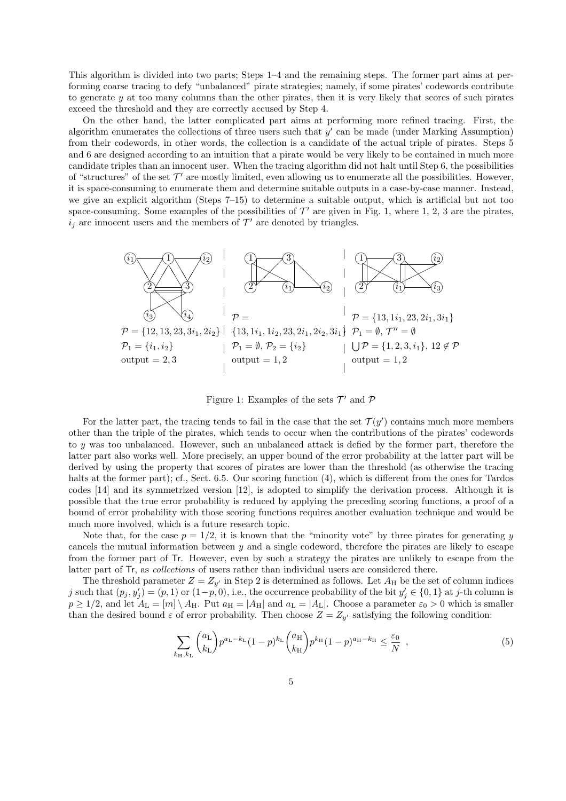This algorithm is divided into two parts; Steps 1–4 and the remaining steps. The former part aims at performing coarse tracing to defy "unbalanced" pirate strategies; namely, if some pirates' codewords contribute to generate *y* at too many columns than the other pirates, then it is very likely that scores of such pirates exceed the threshold and they are correctly accused by Step 4.

On the other hand, the latter complicated part aims at performing more refined tracing. First, the algorithm enumerates the collections of three users such that *y ′* can be made (under Marking Assumption) from their codewords, in other words, the collection is a candidate of the actual triple of pirates. Steps 5 and 6 are designed according to an intuition that a pirate would be very likely to be contained in much more candidate triples than an innocent user. When the tracing algorithm did not halt until Step 6, the possibilities of "structures" of the set  $\mathcal{T}'$  are mostly limited, even allowing us to enumerate all the possibilities. However, it is space-consuming to enumerate them and determine suitable outputs in a case-by-case manner. Instead, we give an explicit algorithm (Steps 7–15) to determine a suitable output, which is artificial but not too space-consuming. Some examples of the possibilities of  $\mathcal{T}'$  are given in Fig. 1, where 1, 2, 3 are the pirates,  $i_j$  are innocent users and the members of  $\mathcal{T}'$  are denoted by triangles.



Figure 1: Examples of the sets *T ′* and *P*

For the latter part, the tracing tends to fail in the case that the set  $\mathcal{T}(y')$  contains much more members other than the triple of the pirates, which tends to occur when the contributions of the pirates' codewords to *y* was too unbalanced. However, such an unbalanced attack is defied by the former part, therefore the latter part also works well. More precisely, an upper bound of the error probability at the latter part will be derived by using the property that scores of pirates are lower than the threshold (as otherwise the tracing halts at the former part); cf., Sect. 6.5. Our scoring function (4), which is different from the ones for Tardos codes [14] and its symmetrized version [12], is adopted to simplify the derivation process. Although it is possible that the true error probability is reduced by applying the preceding scoring functions, a proof of a bound of error probability with those scoring functions requires another evaluation technique and would be much more involved, which is a future research topic.

Note that, for the case  $p = 1/2$ , it is known that the "minority vote" by three pirates for generating *y* cancels the mutual information between *y* and a single codeword, therefore the pirates are likely to escape from the former part of Tr. However, even by such a strategy the pirates are unlikely to escape from the latter part of Tr, as *collections* of users rather than individual users are considered there.

The threshold parameter  $Z = Z_{y'}$  in Step 2 is determined as follows. Let  $A_H$  be the set of column indices j such that  $(p_j, y'_j) = (p, 1)$  or  $(1-p, 0)$ , i.e., the occurrence probability of the bit  $y'_j \in \{0, 1\}$  at j-th column is  $p \geq 1/2$ , and let  $A_L = [m] \setminus A_H$ . Put  $a_H = |A_H|$  and  $a_L = |A_L|$ . Choose a parameter  $\varepsilon_0 > 0$  which is smaller than the desired bound  $\varepsilon$  of error probability. Then choose  $Z = Z_{y'}$  satisfying the following condition:

$$
\sum_{k_{\rm H},k_{\rm L}} \binom{a_{\rm L}}{k_{\rm L}} p^{a_{\rm L}-k_{\rm L}} (1-p)^{k_{\rm L}} \binom{a_{\rm H}}{k_{\rm H}} p^{k_{\rm H}} (1-p)^{a_{\rm H}-k_{\rm H}} \le \frac{\varepsilon_0}{N} \tag{5}
$$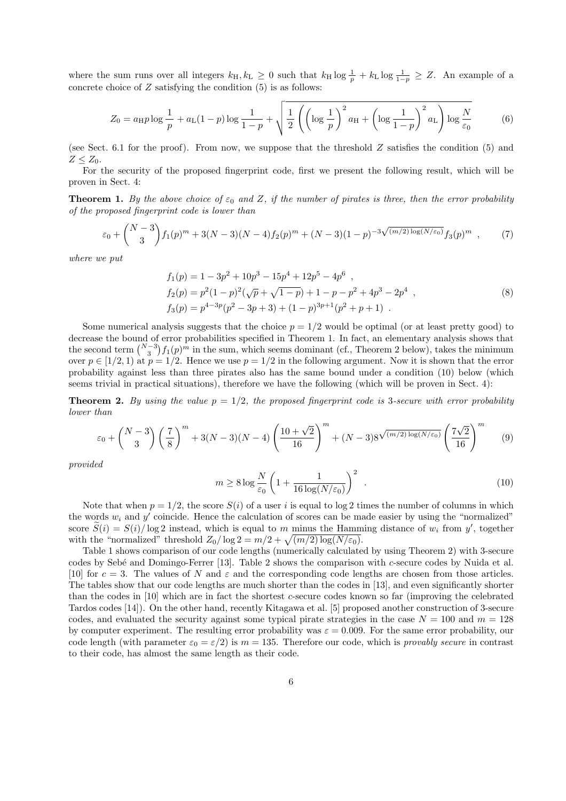where the sum runs over all integers  $k_H, k_L \geq 0$  such that  $k_H \log \frac{1}{p} + k_L \log \frac{1}{1-p} \geq Z$ . An example of a concrete choice of *Z* satisfying the condition (5) is as follows:

$$
Z_0 = a_{\mathrm{H}} p \log \frac{1}{p} + a_{\mathrm{L}} (1-p) \log \frac{1}{1-p} + \sqrt{\frac{1}{2} \left( \left( \log \frac{1}{p} \right)^2 a_{\mathrm{H}} + \left( \log \frac{1}{1-p} \right)^2 a_{\mathrm{L}} \right) \log \frac{N}{\varepsilon_0}} \tag{6}
$$

(see Sect. 6.1 for the proof). From now, we suppose that the threshold *Z* satisfies the condition (5) and  $Z \leq Z_0$ .

For the security of the proposed fingerprint code, first we present the following result, which will be proven in Sect. 4:

**Theorem 1.** *By the above choice of*  $\varepsilon_0$  *and*  $Z$ *, if the number of pirates is three, then the error probability of the proposed fingerprint code is lower than*

$$
\varepsilon_0 + {N-3 \choose 3} f_1(p)^m + 3(N-3)(N-4) f_2(p)^m + (N-3)(1-p)^{-3\sqrt{(m/2)\log(N/\varepsilon_0)}} f_3(p)^m ,
$$
 (7)

*where we put*

$$
f_1(p) = 1 - 3p^2 + 10p^3 - 15p^4 + 12p^5 - 4p^6 ,
$$
  
\n
$$
f_2(p) = p^2(1-p)^2(\sqrt{p} + \sqrt{1-p}) + 1 - p - p^2 + 4p^3 - 2p^4 ,
$$
  
\n
$$
f_3(p) = p^{4-3p}(p^2 - 3p + 3) + (1-p)^{3p+1}(p^2 + p + 1) .
$$
\n(8)

Some numerical analysis suggests that the choice  $p = 1/2$  would be optimal (or at least pretty good) to decrease the bound of error probabilities specified in Theorem 1. In fact, an elementary analysis shows that the second term  $\binom{N-3}{3} f_1(p)^m$  in the sum, which seems dominant (cf., Theorem 2 below), takes the minimum over  $p \in [1/2, 1)$  at  $p = 1/2$ . Hence we use  $p = 1/2$  in the following argument. Now it is shown that the error probability against less than three pirates also has the same bound under a condition (10) below (which seems trivial in practical situations), therefore we have the following (which will be proven in Sect. 4):

**Theorem 2.** By using the value  $p = 1/2$ , the proposed fingerprint code is 3-secure with error probability *lower than*

$$
\varepsilon_0 + \binom{N-3}{3} \left(\frac{7}{8}\right)^m + 3(N-3)(N-4) \left(\frac{10+\sqrt{2}}{16}\right)^m + (N-3)8^{\sqrt{(m/2)\log(N/\varepsilon_0)}} \left(\frac{7\sqrt{2}}{16}\right)^m \tag{9}
$$

*provided*

$$
m \ge 8 \log \frac{N}{\varepsilon_0} \left( 1 + \frac{1}{16 \log(N/\varepsilon_0)} \right)^2 \tag{10}
$$

Note that when  $p = 1/2$ , the score  $S(i)$  of a user *i* is equal to log 2 times the number of columns in which the words  $w_i$  and  $y'$  coincide. Hence the calculation of scores can be made easier by using the "normalized" score  $S(i) = S(i)/\log 2$  instead, which is equal to *m* minus the Hamming distance of  $w_i$  from  $y'$ , together with the "normalized" threshold  $Z_0/\log 2 = m/2 + \sqrt{(m/2)\log(N/\varepsilon_0)}$ .

Table 1 shows comparison of our code lengths (numerically calculated by using Theorem 2) with 3-secure codes by Seb´e and Domingo-Ferrer [13]. Table 2 shows the comparison with *c*-secure codes by Nuida et al. [10] for  $c = 3$ . The values of *N* and  $\varepsilon$  and the corresponding code lengths are chosen from those articles. The tables show that our code lengths are much shorter than the codes in [13], and even significantly shorter than the codes in [10] which are in fact the shortest *c*-secure codes known so far (improving the celebrated Tardos codes [14]). On the other hand, recently Kitagawa et al. [5] proposed another construction of 3-secure codes, and evaluated the security against some typical pirate strategies in the case  $N = 100$  and  $m = 128$ by computer experiment. The resulting error probability was  $\varepsilon = 0.009$ . For the same error probability, our code length (with parameter  $\varepsilon_0 = \varepsilon/2$ ) is  $m = 135$ . Therefore our code, which is *provably secure* in contrast to their code, has almost the same length as their code.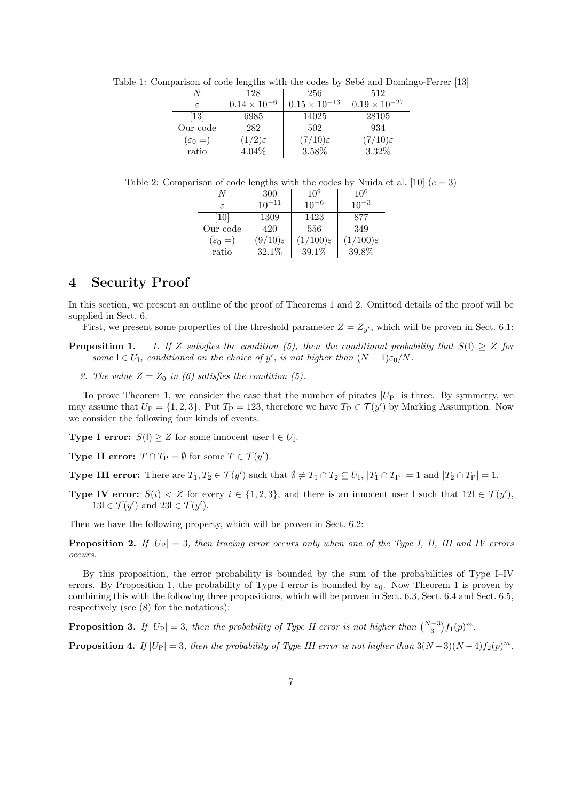|                      | 128                   | 256                    | 512                    |
|----------------------|-----------------------|------------------------|------------------------|
|                      | $0.14 \times 10^{-6}$ | $0.15 \times 10^{-13}$ | $0.19 \times 10^{-27}$ |
| [13]                 | 6985                  | 14025                  | 28105                  |
| Our code             | 282                   | 502                    | 934                    |
| $(\varepsilon_0 = )$ | $(1/2)\varepsilon$    | $(7/10)\varepsilon$    | $(7/10)\varepsilon$    |
| ratio                | $4.04\%$              | 3.58%                  | $3.32\%$               |

Table 1: Comparison of code lengths with the codes by Sebé and Domingo-Ferrer [13]

Table 2: Comparison of code lengths with the codes by Nuida et al. [10]  $(c = 3)$ 

|                     | 300                 | $10^{9}$             | $10^{6}$             |
|---------------------|---------------------|----------------------|----------------------|
| ε                   | $10^{-11}$          | $10^{-6}$            | $10^{-3}$            |
| $\left[10\right]$   | 1309                | 1423                 | 877                  |
| Our code            | 420                 | 556                  | 349                  |
| $(\varepsilon_0 =)$ | $(9/10)\varepsilon$ | $(1/100)\varepsilon$ | $(1/100)\varepsilon$ |
| ratio               | $32.1\%$            | 39.1%                | 39.8%                |

### **4 Security Proof**

In this section, we present an outline of the proof of Theorems 1 and 2. Omitted details of the proof will be supplied in Sect. 6.

First, we present some properties of the threshold parameter  $Z = Z_{y'}$ , which will be proven in Sect. 6.1:

- **Proposition 1.** *1. If Z satisfies the condition (5), then the conditional probability that*  $S(1) \geq Z$  *for some*  $I \in U_I$ , *conditioned on the choice of y'*, *is not higher than*  $(N-1)\varepsilon_0/N$ *.* 
	- 2. The value  $Z = Z_0$  in (6) satisfies the condition (5).

To prove Theorem 1, we consider the case that the number of pirates  $|U_{P}|$  is three. By symmetry, we may assume that  $U_P = \{1, 2, 3\}$ . Put  $T_P = 123$ , therefore we have  $T_P \in \mathcal{T}(y')$  by Marking Assumption. Now we consider the following four kinds of events:

**Type I error:**  $S(1) \geq Z$  for some innocent user  $I \in U_I$ .

**Type II error:**  $T \cap T_P = \emptyset$  for some  $T \in \mathcal{T}(y')$ .

**Type III error:** There are  $T_1, T_2 \in \mathcal{T}(y')$  such that  $\emptyset \neq T_1 \cap T_2 \subseteq U_1$ ,  $|T_1 \cap T_P| = 1$  and  $|T_2 \cap T_P| = 1$ .

**Type IV error:**  $S(i) < Z$  for every  $i \in \{1, 2, 3\}$ , and there is an innocent user I such that  $12I \in \mathcal{T}(y')$ ,  $13\mathsf{l} \in \mathcal{T}(y')$  and  $23\mathsf{l} \in \mathcal{T}(y')$ .

Then we have the following property, which will be proven in Sect. 6.2:

**Proposition 2.** *If*  $|U_P| = 3$ *, then tracing error occurs only when one of the Type I, II, III and IV errors occurs.*

By this proposition, the error probability is bounded by the sum of the probabilities of Type I–IV errors. By Proposition 1, the probability of Type I error is bounded by  $\varepsilon_0$ . Now Theorem 1 is proven by combining this with the following three propositions, which will be proven in Sect. 6.3, Sect. 6.4 and Sect. 6.5, respectively (see (8) for the notations):

**Proposition 3.** *If*  $|U_P| = 3$ *, then the probability of Type II error is not higher than*  $\binom{N-3}{3} f_1(p)^m$ *.* 

**Proposition 4.** *If*  $|U_P| = 3$ *, then the probability of Type III error is not higher than*  $3(N-3)(N-4)f_2(p)^m$ *.*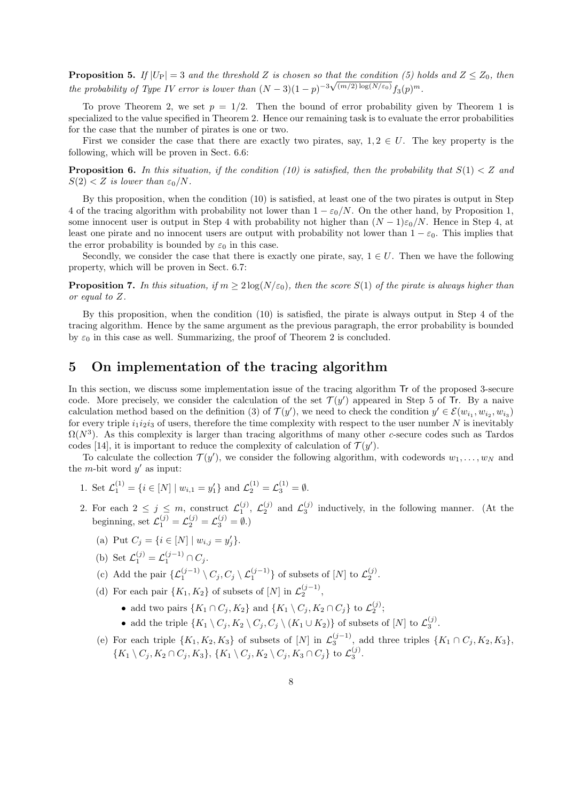**Proposition 5.** *If*  $|U_P| = 3$  *and the threshold*  $Z$  *is chosen so that the condition* (5) holds and  $Z \leq Z_0$ , then *the probability of Type IV error is lower than*  $(N-3)(1-p)^{-3\sqrt{(m/2)}\log(N/\varepsilon_0)}f_3(p)^m$ .

To prove Theorem 2, we set  $p = 1/2$ . Then the bound of error probability given by Theorem 1 is specialized to the value specified in Theorem 2. Hence our remaining task is to evaluate the error probabilities for the case that the number of pirates is one or two.

First we consider the case that there are exactly two pirates, say,  $1, 2 \in U$ . The key property is the following, which will be proven in Sect. 6.6:

**Proposition 6.** In this situation, if the condition (10) is satisfied, then the probability that  $S(1) < Z$  and  $S(2) < Z$  *is lower than*  $\varepsilon_0/N$ *.* 

By this proposition, when the condition (10) is satisfied, at least one of the two pirates is output in Step 4 of the tracing algorithm with probability not lower than  $1 - \varepsilon_0/N$ . On the other hand, by Proposition 1, some innocent user is output in Step 4 with probability not higher than  $(N-1)\varepsilon_0/N$ . Hence in Step 4, at least one pirate and no innocent users are output with probability not lower than  $1 - \varepsilon_0$ . This implies that the error probability is bounded by  $\varepsilon_0$  in this case.

Secondly, we consider the case that there is exactly one pirate, say,  $1 \in U$ . Then we have the following property, which will be proven in Sect. 6.7:

**Proposition 7.** In this situation, if  $m > 2 \log(N/\varepsilon_0)$ , then the score  $S(1)$  of the pirate is always higher than *or equal to Z.*

By this proposition, when the condition (10) is satisfied, the pirate is always output in Step 4 of the tracing algorithm. Hence by the same argument as the previous paragraph, the error probability is bounded by  $\varepsilon_0$  in this case as well. Summarizing, the proof of Theorem 2 is concluded.

# **5 On implementation of the tracing algorithm**

In this section, we discuss some implementation issue of the tracing algorithm Tr of the proposed 3-secure code. More precisely, we consider the calculation of the set  $\mathcal{T}(y')$  appeared in Step 5 of Tr. By a naive calculation method based on the definition (3) of  $\mathcal{T}(y')$ , we need to check the condition  $y' \in \mathcal{E}(w_{i_1}, w_{i_2}, w_{i_3})$ for every triple  $i_1 i_2 i_3$  of users, therefore the time complexity with respect to the user number  $N$  is inevitably  $\Omega(N^3)$ . As this complexity is larger than tracing algorithms of many other *c*-secure codes such as Tardos codes [14], it is important to reduce the complexity of calculation of  $\mathcal{T}(y')$ .

To calculate the collection  $\mathcal{T}(y')$ , we consider the following algorithm, with codewords  $w_1, \ldots, w_N$  and the *m*-bit word  $y'$  as input:

- 1. Set  $\mathcal{L}_1^{(1)} = \{i \in [N] \mid w_{i,1} = y_1'\}$  and  $\mathcal{L}_2^{(1)} = \mathcal{L}_3^{(1)} = \emptyset$ .
- 2. For each  $2 \leq j \leq m$ , construct  $\mathcal{L}_1^{(j)}$ ,  $\mathcal{L}_2^{(j)}$  and  $\mathcal{L}_3^{(j)}$  inductively, in the following manner. (At the beginning, set  $\mathcal{L}_{1}^{(j)} = \mathcal{L}_{2}^{(j)} = \mathcal{L}_{3}^{(j)} = \emptyset$ .)
	- (a) Put  $C_j = \{i \in [N] \mid w_{i,j} = y'_j\}.$
	- (b) Set  $\mathcal{L}_1^{(j)} = \mathcal{L}_1^{(j-1)} \cap C_j$ .
	- (c) Add the pair  $\{\mathcal{L}_1^{(j-1)} \setminus C_j, C_j \setminus \mathcal{L}_1^{(j-1)}\}$  of subsets of  $[N]$  to  $\mathcal{L}_2^{(j)}$ .
	- (d) For each pair  $\{K_1, K_2\}$  of subsets of  $[N]$  in  $\mathcal{L}_2^{(j-1)}$ ,
		- add two pairs  $\{K_1 \cap C_j, K_2\}$  and  $\{K_1 \setminus C_j, K_2 \cap C_j\}$  to  $\mathcal{L}_2^{(j)}$ ;
		- add the triple  $\{K_1 \setminus C_j, K_2 \setminus C_j, C_j \setminus (K_1 \cup K_2)\}$  of subsets of  $[N]$  to  $\mathcal{L}_3^{(j)}$ .
	- (e) For each triple  $\{K_1, K_2, K_3\}$  of subsets of  $[N]$  in  $\mathcal{L}_3^{(j-1)}$ , add three triples  $\{K_1 \cap C_j, K_2, K_3\}$ ,  $\{K_1 \setminus C_j, K_2 \cap C_j, K_3\}, \{K_1 \setminus C_j, K_2 \setminus C_j, K_3 \cap C_j\}$  to  $\mathcal{L}_3^{(j)}$ .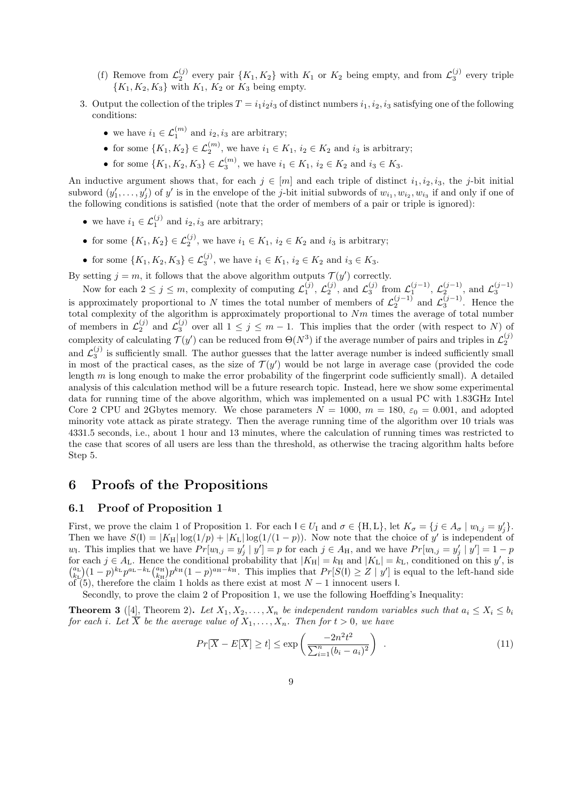- (f) Remove from  $\mathcal{L}_2^{(j)}$  every pair  $\{K_1, K_2\}$  with  $K_1$  or  $K_2$  being empty, and from  $\mathcal{L}_3^{(j)}$  every triple  ${K_1, K_2, K_3}$  with  $K_1, K_2$  or  $K_3$  being empty.
- 3. Output the collection of the triples  $T = i_1 i_2 i_3$  of distinct numbers  $i_1, i_2, i_3$  satisfying one of the following conditions:
	- we have  $i_1 \in \mathcal{L}_1^{(m)}$  and  $i_2, i_3$  are arbitrary;
	- for some  $\{K_1, K_2\} \in \mathcal{L}_2^{(m)}$ , we have  $i_1 \in K_1$ ,  $i_2 \in K_2$  and  $i_3$  is arbitrary;
	- for some  $\{K_1, K_2, K_3\} \in \mathcal{L}_3^{(m)}$ , we have  $i_1 \in K_1$ ,  $i_2 \in K_2$  and  $i_3 \in K_3$ .

An inductive argument shows that, for each  $j \in [m]$  and each triple of distinct  $i_1, i_2, i_3$ , the *j*-bit initial subword  $(y'_1, \ldots, y'_j)$  of y' is in the envelope of the j-bit initial subwords of  $w_{i_1}, w_{i_2}, w_{i_3}$  if and only if one of the following conditions is satisfied (note that the order of members of a pair or triple is ignored):

- we have  $i_1 \in \mathcal{L}_1^{(j)}$  and  $i_2, i_3$  are arbitrary;
- for some  $\{K_1, K_2\} \in \mathcal{L}_2^{(j)}$ , we have  $i_1 \in K_1$ ,  $i_2 \in K_2$  and  $i_3$  is arbitrary;
- for some  $\{K_1, K_2, K_3\} \in \mathcal{L}_3^{(j)}$ , we have  $i_1 \in K_1$ ,  $i_2 \in K_2$  and  $i_3 \in K_3$ .

By setting  $j = m$ , it follows that the above algorithm outputs  $\mathcal{T}(y')$  correctly.

Now for each  $2 \leq j \leq m$ , complexity of computing  $\mathcal{L}_1^{(j)}$ ,  $\mathcal{L}_2^{(j)}$ , and  $\mathcal{L}_3^{(j)}$  from  $\mathcal{L}_1^{(j-1)}$ ,  $\mathcal{L}_2^{(j-1)}$ , and  $\mathcal{L}_3^{(j-1)}$ is approximately proportional to *N* times the total number of members of  $\mathcal{L}_2^{(j-1)}$  and  $\mathcal{L}_3^{(j-1)}$ . Hence the total complexity of the algorithm is approximately proportional to *Nm* times the average of total number of members in  $\mathcal{L}_2^{(j)}$  and  $\mathcal{L}_3^{(j)}$  over all  $1 \leq j \leq m-1$ . This implies that the order (with respect to *N*) of complexity of calculating  $\mathcal{T}(y')$  can be reduced from  $\Theta(N^3)$  if the average number of pairs and triples in  $\mathcal{L}_2^{(j)}$ and  $\mathcal{L}_3^{(j)}$  is sufficiently small. The author guesses that the latter average number is indeed sufficiently small in most of the practical cases, as the size of  $\mathcal{T}(y')$  would be not large in average case (provided the code length *m* is long enough to make the error probability of the fingerprint code sufficiently small). A detailed analysis of this calculation method will be a future research topic. Instead, here we show some experimental data for running time of the above algorithm, which was implemented on a usual PC with 1*.*83GHz Intel Core 2 CPU and 2Gbytes memory. We chose parameters  $N = 1000$ ,  $m = 180$ ,  $\varepsilon_0 = 0.001$ , and adopted minority vote attack as pirate strategy. Then the average running time of the algorithm over 10 trials was 4331*.*5 seconds, i.e., about 1 hour and 13 minutes, where the calculation of running times was restricted to the case that scores of all users are less than the threshold, as otherwise the tracing algorithm halts before Step 5.

### **6 Proofs of the Propositions**

#### **6.1 Proof of Proposition 1**

First, we prove the claim 1 of Proposition 1. For each  $I \in U_I$  and  $\sigma \in \{H, L\}$ , let  $K_{\sigma} = \{j \in A_{\sigma} \mid w_{l,j} = y'_j\}$ . Then we have  $S(\mathbf{l}) = |K_{\mathbf{H}}| \log(1/p) + |K_{\mathbf{L}}| \log(1/(1-p))$ . Now note that the choice of y' is independent of  $w_1$ . This implies that we have  $Pr[w_{1,j} = y'_j | y'] = p$  for each  $j \in A_H$ , and we have  $Pr[w_{1,j} = y'_j | y'] = 1 - p$ for each  $j \in A_L$ . Hence the conditional probability that  $|K_H| = k_H$  and  $|K_L| = k_L$ , conditioned on this *y'*, is  $\binom{a_L}{k_L}(1-p)^{k_L}p^{a_L-k_L}\binom{a_H}{k_H}p^{k_H}(1-p)^{a_H-k_H}$ . This implies that  $Pr[S(1) \geq Z | y']$  is equal to the left-hand side of (5), therefore the claim 1 holds as there exist at most *N −* 1 innocent users I.

Secondly, to prove the claim 2 of Proposition 1, we use the following Hoeffding's Inequality:

**Theorem 3** ([4], Theorem 2). Let  $X_1, X_2, \ldots, X_n$  be independent random variables such that  $a_i \leq X_i \leq b_i$ *for each i. Let*  $\overline{X}$  *be the average value of*  $X_1, \ldots, X_n$ *. Then for*  $t > 0$ *, we have* 

$$
Pr[\overline{X} - E[\overline{X}] \ge t] \le \exp\left(\frac{-2n^2t^2}{\sum_{i=1}^n (b_i - a_i)^2}\right) \tag{11}
$$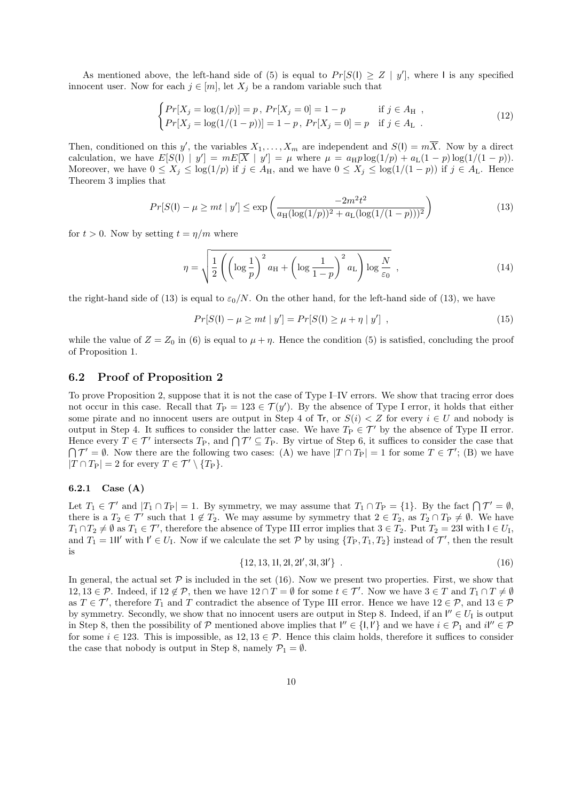As mentioned above, the left-hand side of (5) is equal to  $Pr[S(1) \geq Z | y']$ , where I is any specified innocent user. Now for each  $j \in [m]$ , let  $X_j$  be a random variable such that

$$
\begin{cases}\nPr[X_j = \log(1/p)] = p, \ Pr[X_j = 0] = 1 - p & \text{if } j \in A_H, \\
Pr[X_j = \log(1/(1-p))] = 1 - p, \ Pr[X_j = 0] = p & \text{if } j \in A_L.\n\end{cases}
$$
\n(12)

Then, conditioned on this y', the variables  $X_1, \ldots, X_m$  are independent and  $S(1) = mX$ . Now by a direct calculation, we have  $E[S(1) | y'] = mE[\overline{X} | y'] = \mu$  where  $\mu = a_H p \log(1/p) + a_L(1-p) \log(1/(1-p))$ . Moreover, we have  $0 \le X_j \le \log(1/p)$  if  $j \in A_H$ , and we have  $0 \le X_j \le \log(1/(1-p))$  if  $j \in A_L$ . Hence Theorem 3 implies that

$$
Pr[S(\mathsf{I}) - \mu \ge mt \mid y'] \le \exp\left(\frac{-2m^2t^2}{a_H(\log(1/p))^2 + a_L(\log(1/(1-p)))^2}\right) \tag{13}
$$

for  $t > 0$ . Now by setting  $t = \eta/m$  where

$$
\eta = \sqrt{\frac{1}{2} \left( \left( \log \frac{1}{p} \right)^2 a_{\rm H} + \left( \log \frac{1}{1-p} \right)^2 a_{\rm L} \right) \log \frac{N}{\varepsilon_0}} \tag{14}
$$

the right-hand side of (13) is equal to  $\varepsilon_0/N$ . On the other hand, for the left-hand side of (13), we have

$$
Pr[S(\mathsf{I}) - \mu \ge mt \mid y'] = Pr[S(\mathsf{I}) \ge \mu + \eta \mid y'] , \qquad (15)
$$

while the value of  $Z = Z_0$  in (6) is equal to  $\mu + \eta$ . Hence the condition (5) is satisfied, concluding the proof of Proposition 1.

#### **6.2 Proof of Proposition 2**

To prove Proposition 2, suppose that it is not the case of Type I–IV errors. We show that tracing error does not occur in this case. Recall that  $T_P = 123 \in \mathcal{T}(y')$ . By the absence of Type I error, it holds that either some pirate and no innocent users are output in Step 4 of Tr, or  $S(i) < Z$  for every  $i \in U$  and nobody is output in Step 4. It suffices to consider the latter case. We have  $T_P \in \mathcal{T}'$  by the absence of Type II error. Hence every  $T \in \mathcal{T}'$  intersects  $T_{\text{P}}$ , and  $\bigcap \mathcal{T}' \subseteq T_{\text{P}}$ . By virtue of Step 6, it suffices to consider the case that  $\bigcap \mathcal{T}' = \emptyset$ . Now there are the following two cases: (A) we have  $|T \cap T_P| = 1$  for some  $T \in \mathcal{T}'$ ; (B) we have  $|T \cap T_{\rm P}| = 2$  for every  $T \in \mathcal{T}' \setminus \{T_{\rm P}\}.$ 

#### **6.2.1 Case (A)**

Let  $T_1 \in \mathcal{T}'$  and  $|T_1 \cap T_P| = 1$ . By symmetry, we may assume that  $T_1 \cap T_P = \{1\}$ . By the fact  $\bigcap \mathcal{T}' = \emptyset$ , there is a  $T_2 \in \mathcal{T}'$  such that  $1 \notin T_2$ . We may assume by symmetry that  $2 \in T_2$ , as  $T_2 \cap T_P \neq \emptyset$ . We have  $T_1 \cap T_2 \neq \emptyset$  as  $T_1 \in \mathcal{T}'$ , therefore the absence of Type III error implies that  $3 \in T_2$ . Put  $T_2 = 23$ I with  $I \in U_I$ , and  $T_1 = 1$ II' with  $I' \in U_1$ . Now if we calculate the set  $P$  by using  $\{T_P, T_1, T_2\}$  instead of  $\mathcal{T}'$ , then the result is

$$
\{12, 13, 11, 21, 21', 31, 31'\} \t\t(16)
$$

In general, the actual set  $P$  is included in the set (16). Now we present two properties. First, we show that 12, 13 ∈ P. Indeed, if  $12 \notin \mathcal{P}$ , then we have  $12 \cap T = \emptyset$  for some  $t \in \mathcal{T}'$ . Now we have  $3 \in T$  and  $T_1 \cap T \neq \emptyset$ as  $T \in \mathcal{T}'$ , therefore  $T_1$  and  $T$  contradict the absence of Type III error. Hence we have  $12 \in \mathcal{P}$ , and  $13 \in \mathcal{P}$ by symmetry. Secondly, we show that no innocent users are output in Step 8. Indeed, if an  $I'' \in U_I$  is output in Step 8, then the possibility of  $P$  mentioned above implies that  $I'' \in \{1, I'\}$  and we have  $i \in P_1$  and  $iI'' \in P$ for some  $i \in 123$ . This is impossible, as  $12, 13 \in \mathcal{P}$ . Hence this claim holds, therefore it suffices to consider the case that nobody is output in Step 8, namely  $\mathcal{P}_1 = \emptyset$ .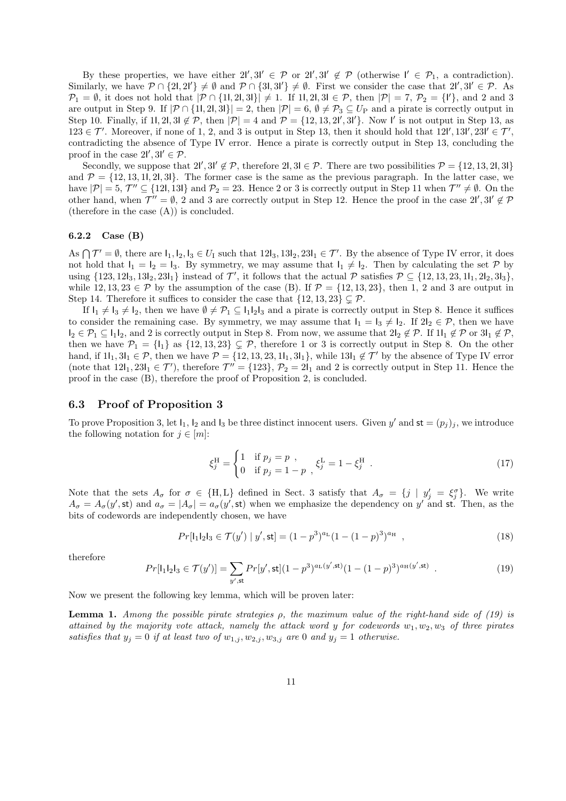By these properties, we have either  $2l'$ ,  $3l' \in \mathcal{P}$  or  $2l'$ ,  $3l' \notin \mathcal{P}$  (otherwise  $l' \in \mathcal{P}_1$ , a contradiction). Similarly, we have  $P \cap \{2l, 2l'\} \neq \emptyset$  and  $P \cap \{3l, 3l'\} \neq \emptyset$ . First we consider the case that  $2l', 3l' \in P$ . As *P*<sub>1</sub> = *Ø*, it does not hold that  $|P ∩ {1, 2l, 3l} | ≠ 1$ . If 11, 21, 3l ∈ *P*, then  $|P| = 7$ , *P*<sub>2</sub> = {<sup>I'</sup>}, and 2 and 3 are output in Step 9. If  $|\mathcal{P} \cap \{11, 21, 31\}| = 2$ , then  $|\mathcal{P}| = 6$ ,  $\emptyset \neq \mathcal{P}_3 \subseteq U_P$  and a pirate is correctly output in Step 10. Finally, if 1I, 2I, 3I  $\notin \mathcal{P}$ , then  $|\mathcal{P}| = 4$  and  $\mathcal{P} = \{12, 13, 21', 31'\}$ . Now I' is not output in Step 13, as  $123 \in \mathcal{T}'$ . Moreover, if none of 1, 2, and 3 is output in Step 13, then it should hold that  $12\mathcal{I}', 13\mathcal{I}', 23\mathcal{I}' \in \mathcal{T}'$ , contradicting the absence of Type IV error. Hence a pirate is correctly output in Step 13, concluding the proof in the case  $2I', 3I' \in \mathcal{P}$ .

Secondly, we suppose that  $2l'$ ,  $3l' \notin \mathcal{P}$ , therefore  $2l$ ,  $3l \in \mathcal{P}$ . There are two possibilities  $\mathcal{P} = \{12, 13, 2l, 3l\}$ and  $\mathcal{P} = \{12, 13, 11, 21, 31\}$ . The former case is the same as the previous paragraph. In the latter case, we have  $|\mathcal{P}| = 5$ ,  $\mathcal{T}'' \subseteq \{121, 131\}$  and  $\mathcal{P}_2 = 23$ . Hence 2 or 3 is correctly output in Step 11 when  $\mathcal{T}'' \neq \emptyset$ . On the other hand, when  $\mathcal{T}'' = \emptyset$ , 2 and 3 are correctly output in Step 12. Hence the proof in the case  $2\mathcal{V}'$ ,  $3\mathcal{V}' \notin \mathcal{P}$ (therefore in the case (A)) is concluded.

#### **6.2.2 Case (B)**

As  $\bigcap \mathcal{T}' = \emptyset$ , there are  $I_1, I_2, I_3 \in U_1$  such that  $12I_3, 13I_2, 23I_1 \in \mathcal{T}'$ . By the absence of Type IV error, it does not hold that  $I_1 = I_2 = I_3$ . By symmetry, we may assume that  $I_1 \neq I_2$ . Then by calculating the set *P* by using  $\{123, 121_3, 131_2, 231_1\}$  instead of  $\mathcal{T}'$ , it follows that the actual  $\mathcal{P}$  satisfies  $\mathcal{P} \subseteq \{12, 13, 23, 11_1, 21_2, 31_3\}$ , while  $12, 13, 23 \in \mathcal{P}$  by the assumption of the case (B). If  $\mathcal{P} = \{12, 13, 23\}$ , then 1, 2 and 3 are output in Step 14. Therefore it suffices to consider the case that  $\{12, 13, 23\} \subseteq \mathcal{P}$ .

If  $I_1 \neq I_3 \neq I_2$ , then we have  $\emptyset \neq \mathcal{P}_1 \subseteq I_1I_2I_3$  and a pirate is correctly output in Step 8. Hence it suffices to consider the remaining case. By symmetry, we may assume that  $I_1 = I_3 \neq I_2$ . If  $2I_2 \in \mathcal{P}$ , then we have  $I_2 \in \mathcal{P}_1 \subseteq I_1I_2$ , and 2 is correctly output in Step 8. From now, we assume that  $2I_2 \notin \mathcal{P}$ . If  $1I_1 \notin \mathcal{P}$  or  $3I_1 \notin \mathcal{P}$ . then we have  $P_1 = \{I_1\}$  as  $\{12, 13, 23\} \subsetneq P$ , therefore 1 or 3 is correctly output in Step 8. On the other hand, if  $1I_1, 3I_1 \in \mathcal{P}$ , then we have  $\mathcal{P} = \{12, 13, 23, 11_1, 31_1\}$ , while  $13I_1 \notin \mathcal{T}'$  by the absence of Type IV error (note that  $12I_1, 23I_1 \in \mathcal{T}'$ ), therefore  $\mathcal{T}'' = \{123\}, \mathcal{P}_2 = 2I_1 \text{ and } 2 \text{ is correctly output in Step 11. Hence the$ proof in the case (B), therefore the proof of Proposition 2, is concluded.

#### **6.3 Proof of Proposition 3**

To prove Proposition 3, let  $I_1$ ,  $I_2$  and  $I_3$  be three distinct innocent users. Given *y'* and  $st = (p_j)_j$ , we introduce the following notation for  $j \in [m]$ :

$$
\xi_j^{\text{H}} = \begin{cases} 1 & \text{if } p_j = p ,\\ 0 & \text{if } p_j = 1 - p , \end{cases} \xi_j^{\text{L}} = 1 - \xi_j^{\text{H}} . \tag{17}
$$

Note that the sets  $A_{\sigma}$  for  $\sigma \in \{H, L\}$  defined in Sect. 3 satisfy that  $A_{\sigma} = \{j | y'_j = \xi_j^{\sigma}\}\$ . We write  $A_{\sigma} = A_{\sigma}(y',\mathsf{st})$  and  $a_{\sigma} = |A_{\sigma}| = a_{\sigma}(y',\mathsf{st})$  when we emphasize the dependency on  $y'$  and st. Then, as the bits of codewords are independently chosen, we have

$$
Pr[1_11_21_3 \in \mathcal{T}(y') | y', \text{st}] = (1 - p^3)^{a_L} (1 - (1 - p)^3)^{a_H} , \qquad (18)
$$

therefore

$$
Pr[\mathbf{l}_1 \mathbf{l}_2 \mathbf{l}_3 \in \mathcal{T}(y')] = \sum_{y', \text{st}} Pr[y', \text{st}] (1 - p^3)^{a_{\text{L}}(y', \text{st})} (1 - (1 - p)^3)^{a_{\text{H}}(y', \text{st})} . \tag{19}
$$

Now we present the following key lemma, which will be proven later:

**Lemma 1.** *Among the possible pirate strategies ρ, the maximum value of the right-hand side of (19) is attained by the majority vote attack, namely the attack word y for codewords w*1*, w*2*, w*<sup>3</sup> *of three pirates satisfies that*  $y_j = 0$  *if at least two of*  $w_{1,j}$ ,  $w_{2,j}$ ,  $w_{3,j}$  *are* 0 *and*  $y_j = 1$  *otherwise.*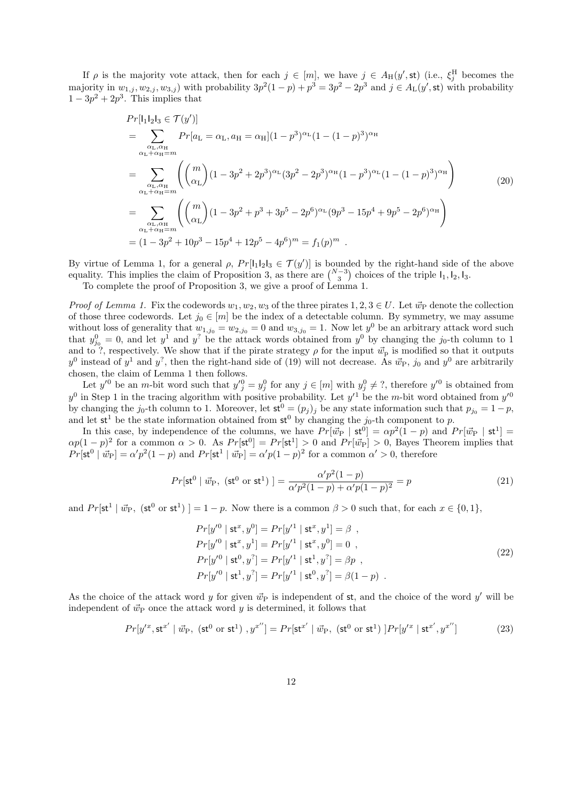If  $\rho$  is the majority vote attack, then for each  $j \in [m]$ , we have  $j \in A_H(y',\text{st})$  (i.e.,  $\xi_j^H$  becomes the majority in  $w_{1,j}, w_{2,j}, w_{3,j}$  with probability  $3p^2(1-p) + p^3 = 3p^2 - 2p^3$  and  $j \in A_L(y', \text{st})$  with probability  $1 - 3p^2 + 2p^3$ . This implies that

$$
Pr[|_{1}|_{2}|_{3} \in \mathcal{T}(y')] = \sum_{\substack{\alpha_{\text{L}}, \alpha_{\text{H}} \\ \alpha_{\text{L}} + \alpha_{\text{H}} = m}} Pr[a_{\text{L}} = \alpha_{\text{L}}, a_{\text{H}} = \alpha_{\text{H}}](1 - p^{3})^{\alpha_{\text{L}}} (1 - (1 - p)^{3})^{\alpha_{\text{H}}}
$$
  
\n
$$
= \sum_{\substack{\alpha_{\text{L}}, \alpha_{\text{H}} \\ \alpha_{\text{L}} + \alpha_{\text{H}} = m}} \left( {m \choose \alpha_{\text{L}}} (1 - 3p^{2} + 2p^{3})^{\alpha_{\text{L}}} (3p^{2} - 2p^{3})^{\alpha_{\text{H}}} (1 - p^{3})^{\alpha_{\text{L}}} (1 - (1 - p)^{3})^{\alpha_{\text{H}}} \right)
$$
  
\n
$$
= \sum_{\substack{\alpha_{\text{L}}, \alpha_{\text{H}} \\ \alpha_{\text{L}} + \alpha_{\text{H}} = m}} \left( {m \choose \alpha_{\text{L}}} (1 - 3p^{2} + p^{3} + 3p^{5} - 2p^{6})^{\alpha_{\text{L}}} (9p^{3} - 15p^{4} + 9p^{5} - 2p^{6})^{\alpha_{\text{H}}}} \right)
$$
  
\n
$$
= (1 - 3p^{2} + 10p^{3} - 15p^{4} + 12p^{5} - 4p^{6})^{m} = f_{1}(p)^{m} .
$$

By virtue of Lemma 1, for a general  $\rho$ ,  $Pr[1_1 2_3 \in \mathcal{T}(y')]$  is bounded by the right-hand side of the above equality. This implies the claim of Proposition 3, as there are  $\binom{N-3}{3}$  choices of the triple  $I_1, I_2, I_3$ .

To complete the proof of Proposition 3, we give a proof of Lemma 1.

*Proof of Lemma 1.* Fix the codewords  $w_1, w_2, w_3$  of the three pirates  $1, 2, 3 \in U$ . Let  $\vec{w}_P$  denote the collection of those three codewords. Let  $j_0 \in [m]$  be the index of a detectable column. By symmetry, we may assume without loss of generality that  $w_{1,j_0} = w_{2,j_0} = 0$  and  $w_{3,j_0} = 1$ . Now let  $y^0$  be an arbitrary attack word such that  $y_{j_0}^0 = 0$ , and let  $y^1$  and  $y^2$  be the attack words obtained from  $y^0$  by changing the *j*<sub>0</sub>-th column to 1 and to ?, respectively. We show that if the pirate strategy  $\rho$  for the input  $\vec{w}_p$  is modified so that it outputs  $y^0$  instead of  $y^1$  and  $y^2$ , then the right-hand side of (19) will not decrease. As  $\vec{w}_P$ ,  $j_0$  and  $y^0$  are arbitrarily chosen, the claim of Lemma 1 then follows.

Let  $y'^0$  be an *m*-bit word such that  $y'^0_j = y^0_j$  for any  $j \in [m]$  with  $y^0_j \neq ?$ , therefore  $y'^0$  is obtained from  $y^0$  in Step 1 in the tracing algorithm with positive probability. Let  $y'^1$  be the *m*-bit word obtained from  $y'^0$ by changing the *j*<sub>0</sub>-th column to 1. Moreover, let  $st^0 = (p_j)_j$  be any state information such that  $p_{j_0} = 1 - p$ , and let  $st^1$  be the state information obtained from  $st^0$  by changing the  $j_0$ -th component to  $p$ .

In this case, by independence of the columns, we have  $Pr[\vec{w}_P | st^0] = \alpha p^2 (1-p)$  and  $Pr[\vec{w}_P | st^1] =$  $\alpha p(1-p)^2$  for a common  $\alpha > 0$ . As  $Pr[\text{st}^0] = Pr[\text{st}^1] > 0$  and  $Pr[\vec{w}_P] > 0$ , Bayes Theorem implies that  $Pr[\text{st}^0 | \vec{w}_P] = \alpha' p^2 (1-p)$  and  $Pr[\text{st}^1 | \vec{w}_P] = \alpha' p (1-p)^2$  for a common  $\alpha' > 0$ , therefore

$$
Pr[\text{st}^0 \mid \vec{w}_{\text{P}}, (\text{st}^0 \text{ or } \text{st}^1)] = \frac{\alpha' p^2 (1 - p)}{\alpha' p^2 (1 - p) + \alpha' p (1 - p)^2} = p \tag{21}
$$

and  $Pr[\text{st}^1 | \vec{w}_P, (\text{st}^0 \text{ or } \text{st}^1)] = 1 - p$ . Now there is a common  $\beta > 0$  such that, for each  $x \in \{0,1\},$ 

$$
Pr[y'^{0} | st^{x}, y^{0}] = Pr[y'^{1} | st^{x}, y^{1}] = \beta ,
$$
  
\n
$$
Pr[y'^{0} | st^{x}, y^{1}] = Pr[y'^{1} | st^{x}, y^{0}] = 0 ,
$$
  
\n
$$
Pr[y'^{0} | st^{0}, y^{2}] = Pr[y'^{1} | st^{1}, y^{2}] = \beta p ,
$$
  
\n
$$
Pr[y'^{0} | st^{1}, y^{2}] = Pr[y'^{1} | st^{0}, y^{2}] = \beta(1 - p) .
$$
\n(22)

As the choice of the attack word *y* for given  $\vec{w}_P$  is independent of st, and the choice of the word  $y'$  will be independent of  $\vec{w}_P$  once the attack word *y* is determined, it follows that

$$
Pr[y'^x, \mathsf{st}^{x'} \mid \vec{w}_{\mathsf{P}}, (\mathsf{st}^0 \text{ or } \mathsf{st}^1), y^{x''}] = Pr[\mathsf{st}^{x'} \mid \vec{w}_{\mathsf{P}}, (\mathsf{st}^0 \text{ or } \mathsf{st}^1) \mid Pr[y'^x \mid \mathsf{st}^{x'}, y^{x''}]
$$
(23)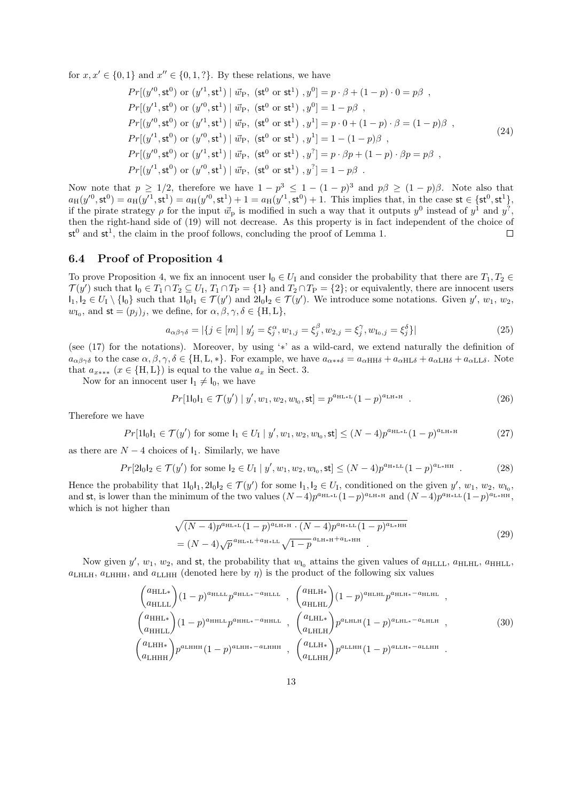for  $x, x' \in \{0, 1\}$  and  $x'' \in \{0, 1, ?\}$ . By these relations, we have

$$
Pr[(y'^{0}, \mathbf{st}^{0}) \text{ or } (y'^{1}, \mathbf{st}^{1}) | \vec{w}_{P}, (\mathbf{st}^{0} \text{ or } \mathbf{st}^{1}), y^{0}] = p \cdot \beta + (1 - p) \cdot 0 = p\beta ,
$$
  
\n
$$
Pr[(y'^{1}, \mathbf{st}^{0}) \text{ or } (y'^{0}, \mathbf{st}^{1}) | \vec{w}_{P}, (\mathbf{st}^{0} \text{ or } \mathbf{st}^{1}), y^{0}] = 1 - p\beta ,
$$
  
\n
$$
Pr[(y'^{0}, \mathbf{st}^{0}) \text{ or } (y'^{1}, \mathbf{st}^{1}) | \vec{w}_{P}, (\mathbf{st}^{0} \text{ or } \mathbf{st}^{1}), y^{1}] = p \cdot 0 + (1 - p) \cdot \beta = (1 - p)\beta ,
$$
  
\n
$$
Pr[(y'^{1}, \mathbf{st}^{0}) \text{ or } (y'^{0}, \mathbf{st}^{1}) | \vec{w}_{P}, (\mathbf{st}^{0} \text{ or } \mathbf{st}^{1}), y^{1}] = 1 - (1 - p)\beta ,
$$
  
\n
$$
Pr[(y'^{0}, \mathbf{st}^{0}) \text{ or } (y'^{1}, \mathbf{st}^{1}) | \vec{w}_{P}, (\mathbf{st}^{0} \text{ or } \mathbf{st}^{1}), y^{2}] = p \cdot \beta p + (1 - p) \cdot \beta p = p\beta ,
$$
  
\n
$$
Pr[(y'^{1}, \mathbf{st}^{0}) \text{ or } (y'^{0}, \mathbf{st}^{1}) | \vec{w}_{P}, (\mathbf{st}^{0} \text{ or } \mathbf{st}^{1}), y^{2}] = 1 - p\beta .
$$
 (24)

Now note that  $p \geq 1/2$ , therefore we have  $1 - p^3 \leq 1 - (1 - p)^3$  and  $p\beta \geq (1 - p)\beta$ . Note also that  $a_H(y'^0, \mathsf{st}^0) = a_H(y'^1, \mathsf{st}^1) = a_H(y'^0, \mathsf{st}^1) + 1 = a_H(y'^1, \mathsf{st}^0) + 1$ . This implies that, in the case  $\mathsf{st} \in {\{\mathsf{st}^0, \mathsf{st}^1\}},$ if the pirate strategy  $\rho$  for the input  $\vec{w}_p$  is modified in such a way that it outputs  $y^0$  instead of  $y^1$  and  $y^2$ , then the right-hand side of (19) will not decrease. As this property is in fact independent of the choice of  $st^0$  and  $st^1$ , the claim in the proof follows, concluding the proof of Lemma 1.  $\Box$ 

#### **6.4 Proof of Proposition 4**

To prove Proposition 4, we fix an innocent user  $I_0 \in U_1$  and consider the probability that there are  $T_1, T_2 \in$  $\mathcal{T}(y')$  such that  $I_0 \in T_1 \cap T_2 \subseteq U_I$ ,  $T_1 \cap T_P = \{1\}$  and  $T_2 \cap T_P = \{2\}$ ; or equivalently, there are innocent users  $I_1, I_2 \in U_1 \setminus \{I_0\}$  such that  $1I_0I_1 \in \mathcal{T}(y')$  and  $2I_0I_2 \in \mathcal{T}(y')$ . We introduce some notations. Given  $y', w_1, w_2,$  $w_{I_0}$ , and  $st = (p_j)_j$ , we define, for  $\alpha, \beta, \gamma, \delta \in \{\text{H}, \text{L}\},\$ 

$$
a_{\alpha\beta\gamma\delta} = |\{j \in [m] \mid y'_j = \xi_j^{\alpha}, w_{1,j} = \xi_j^{\beta}, w_{2,j} = \xi_j^{\gamma}, w_{I_0,j} = \xi_j^{\delta}\}|
$$
\n(25)

(see (17) for the notations). Moreover, by using '*∗*' as a wild-card, we extend naturally the definition of  $a_{\alpha\beta\gamma\delta}$  to the case  $\alpha, \beta, \gamma, \delta \in \{\text{H}, \text{L}, * \}$ . For example, we have  $a_{\alpha**\delta} = a_{\alpha \text{HH}\delta} + a_{\alpha \text{HL}\delta} + a_{\alpha \text{L}\text{H}\delta} + a_{\alpha \text{LL}\delta}$ . Note that  $a_{x**}$  ( $x \in \{H, L\}$ ) is equal to the value  $a_x$  in Sect. 3.

Now for an innocent user  $I_1 \neq I_0$ , we have

$$
Pr[1l_0l_1 \in \mathcal{T}(y') \mid y', w_1, w_2, w_{l_0}, st] = p^{a_{\text{HL}*L}}(1-p)^{a_{\text{LH}*H}}.
$$
 (26)

Therefore we have

$$
Pr[1\mathbf{l}_0\mathbf{l}_1 \in \mathcal{T}(y') \text{ for some } \mathbf{l}_1 \in U_1 \mid y', w_1, w_2, w_{\mathbf{l}_0}, \mathsf{st}] \le (N-4)p^{a_{\text{HL}*L}}(1-p)^{a_{\text{LH}*H}} \tag{27}
$$

as there are  $N-4$  choices of  $I_1$ . Similarly, we have

$$
Pr[2l_0l_2 \in \mathcal{T}(y')] \text{ for some } l_2 \in U_1 \mid y', w_1, w_2, w_{l_0}, \text{st}] \le (N-4)p^{a_{\text{H+LL}}}(1-p)^{a_{\text{L+HH}}}.
$$
 (28)

Hence the probability that  $1|_01$ ,  $2|_01$ <sub>2</sub>  $\in \mathcal{T}(y')$  for some  $1_1, 1_2 \in U_1$ , conditioned on the given  $y'$ ,  $w_1, w_2, w_1$ , and st, is lower than the minimum of the two values  $(N-4)p^{a_{HL}*L}(1-p)^{a_{LH}*H}$  and  $(N-4)p^{a_{H}*L}(1-p)^{a_{L}*HH}$ , which is not higher than

$$
\sqrt{(N-4)p^{a_{\text{HL}*L}}(1-p)^{a_{\text{LH}*H}} \cdot (N-4)p^{a_{\text{H}*LL}}(1-p)^{a_{\text{L}*HH}}}
$$
\n
$$
= (N-4)\sqrt{p}^{a_{\text{HL}*L}+a_{\text{H}*LL}}\sqrt{1-p}^{a_{\text{LH}*H}+a_{\text{L}*HH}}}.
$$
\n(29)

Now given  $y'$ ,  $w_1$ ,  $w_2$ , and st, the probability that  $w_{l_0}$  attains the given values of  $a_{\text{HLLL}}$ ,  $a_{\text{HLLL}}$ ,  $a_{\text{HHLL}}$ ,  $a_{\text{LHHH}}$ ,  $a_{\text{LHHH}}$ , and  $a_{\text{LLHH}}$  (denoted here by  $\eta$ ) is the product of the following six values

$$
\begin{pmatrix}\na_{\text{HLL}} \\
a_{\text{HLL}}\n\end{pmatrix} (1-p)^{a_{\text{HLL}}p^{a_{\text{HLL}}-a_{\text{HLL}}}\,, \quad\n\begin{pmatrix}\na_{\text{HLH}} \\
a_{\text{HLH}}\n\end{pmatrix} (1-p)^{a_{\text{HLH}}p^{a_{\text{HLH}}-a_{\text{HLH}}}\,,
$$
\n
$$
\begin{pmatrix}\na_{\text{HHL}} \\
a_{\text{HHLL}}\n\end{pmatrix} (1-p)^{a_{\text{HHL}}p^{a_{\text{HHL}}-a_{\text{HHL}}}\,, \quad\n\begin{pmatrix}\na_{\text{LHL}} \\
a_{\text{LHL}}\n\end{pmatrix} p^{a_{\text{LHH}}-a_{\text{LHH}}}\,,
$$
\n
$$
\begin{pmatrix}\na_{\text{LHH}} \\
a_{\text{LHH}}\n\end{pmatrix} p^{a_{\text{LHH}}-a_{\text{LHH}}}\,, \quad\n\begin{pmatrix}\na_{\text{LHH}} \\
a_{\text{LHH}}\n\end{pmatrix} p^{a_{\text{LLH}}-a_{\text{LHH}}}\,,
$$
\n
$$
\begin{pmatrix}\na_{\text{LHH}} \\
a_{\text{LHH}}\n\end{pmatrix} p^{a_{\text{LHH}}-a_{\text{LHH}}}\,,
$$
\n
$$
\begin{pmatrix}\na_{\text{LHH}} \\
a_{\text{LHH}}\n\end{pmatrix} p^{a_{\text{LLH}}-a_{\text{LHH}}}\,. \tag{30}
$$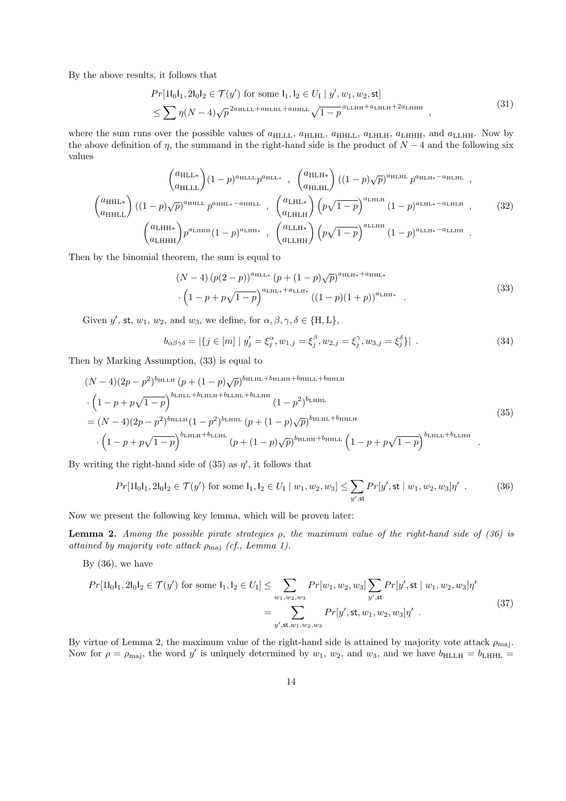By the above results, it follows that

$$
Pr[1|_01_1, 2|_01_2 \in \mathcal{T}(y') \text{ for some } 1_1, 1_2 \in U_1 | y', w_1, w_2, \text{st}]
$$
  
 
$$
\leq \sum \eta(N-4)\sqrt{p}^{2a_{\text{HLLL}}+a_{\text{HLHL}}+a_{\text{HHLL}}}\sqrt{1-p}^{a_{\text{LLHH}}+a_{\text{LHLH}}+2a_{\text{LHHH}}},
$$
 (31)

where the sum runs over the possible values of  $a_{\text{HLLL}}$ ,  $a_{\text{HLHL}}$ ,  $a_{\text{HHLL}}$ ,  $a_{\text{LHHH}}$ ,  $a_{\text{LHHH}}$ , and  $a_{\text{LLHH}}$ . Now by the above definition of  $\eta$ , the summand in the right-hand side is the product of  $N-4$  and the following six values

$$
\begin{pmatrix} a_{\text{HLL}} \\ a_{\text{HLL}} \end{pmatrix} (1-p)^{a_{\text{HLL}} p^{a_{\text{HLL}}} p^{a_{\text{HLL}}} }, \begin{pmatrix} a_{\text{HLH}} \\ a_{\text{HLHL}} \end{pmatrix} ((1-p)\sqrt{p})^{a_{\text{HLH}}} p^{a_{\text{HLH}}} ,
$$
\n
$$
\begin{pmatrix} a_{\text{HHL}} \\ a_{\text{HHL}} \end{pmatrix} ((1-p)\sqrt{p})^{a_{\text{HHL}}} p^{a_{\text{HHL}}} p^{a_{\text{HHL}}} (1-p)^{a_{\text{LHLH}}} , \begin{pmatrix} a_{\text{LHLH}} \\ a_{\text{LHHH}} \end{pmatrix} (p\sqrt{1-p})^{a_{\text{LHH}}} (1-p)^{a_{\text{LHL}*} - a_{\text{LHH}}} ,
$$
\n
$$
\begin{pmatrix} a_{\text{LHH}*}} \\ a_{\text{LHHH}} \end{pmatrix} p^{a_{\text{LHH}}} (1-p)^{a_{\text{LHH}}} , \begin{pmatrix} a_{\text{LHH}} \\ a_{\text{LHH}} \end{pmatrix} (p\sqrt{1-p})^{a_{\text{LHH}}} (1-p)^{a_{\text{LHH}*} - a_{\text{LHH}}} .
$$
\n(32)

Then by the binomial theorem, the sum is equal to

$$
(N-4) (p(2-p))^{a_{\text{HLL}*}} (p + (1-p)\sqrt{p})^{a_{\text{HLR}*} + a_{\text{HHL}*}} \cdot (1-p+p\sqrt{1-p})^{a_{\text{LHL}*} + a_{\text{LLH}*}} ((1-p)(1+p))^{a_{\text{LHH}*}}.
$$
\n(33)

Given *y'*, st, *w*<sub>1</sub>, *w*<sub>2</sub>, and *w*<sub>3</sub>, we define, for  $\alpha, \beta, \gamma, \delta \in \{\text{H}, \text{L}\},$ 

$$
b_{\alpha\beta\gamma\delta} = |\{j \in [m] \mid y'_j = \xi_j^{\alpha}, w_{1,j} = \xi_j^{\beta}, w_{2,j} = \xi_j^{\gamma}, w_{3,j} = \xi_j^{\delta}\}| \tag{34}
$$

Then by Marking Assumption, (33) is equal to

$$
(N-4)(2p-p^2)^{b_{\text{HLL}}}(p+(1-p)\sqrt{p})^{b_{\text{HLHL}}+b_{\text{HLHH}}+b_{\text{HLL}}+b_{\text{HHL}}+b_{\text{HHL}}}
$$
\n
$$
\cdot \left(1-p+p\sqrt{1-p}\right)^{b_{\text{LHLL}}+b_{\text{LHLH}}+b_{\text{LLHL}}+b_{\text{LLHH}}} (1-p^2)^{b_{\text{LHHL}}} (1-p^2)^{b_{\text{LHHL}}} (1-p^2)^{b_{\text{HHL}}} (1-p^2)^{b_{\text{HHL}}+b_{\text{HHL}}} (1-p+p\sqrt{1-p})^{b_{\text{LHLL}}+b_{\text{LLHH}}} (1-p+p\sqrt{1-p})^{b_{\text{LHLL}}+b_{\text{LLHH}}} (1-p+p\sqrt{1-p})^{b_{\text{LHLL}}+b_{\text{LLHH}}} (1-p+p\sqrt{1-p})^{b_{\text{LHLH}}+b_{\text{LHH}}} (1-p+p\sqrt{1-p})^{b_{\text{LHLH}}+b_{\text{LHH}}}.
$$
\n
$$
(35)
$$

By writing the right-hand side of  $(35)$  as  $\eta'$ , it follows that

$$
Pr[1|_01_1, 2|_01_2 \in \mathcal{T}(y') \text{ for some } 1_1, 1_2 \in U_1 \mid w_1, w_2, w_3] \le \sum_{y', \text{st}} Pr[y', \text{st} \mid w_1, w_2, w_3] \eta' \tag{36}
$$

Now we present the following key lemma, which will be proven later:

**Lemma 2.** *Among the possible pirate strategies ρ, the maximum value of the right-hand side of (36) is attained by majority vote attack ρ*maj *(cf., Lemma 1).*

By  $(36)$ , we have

$$
Pr[1|_{0}1_{1}, 2|_{0}1_{2} \in \mathcal{T}(y') \text{ for some } 1_{1}, 1_{2} \in U_{I}] \leq \sum_{w_{1}, w_{2}, w_{3}} Pr[w_{1}, w_{2}, w_{3}] \sum_{y', \text{st}} Pr[y', \text{st} | w_{1}, w_{2}, w_{3}] \eta'
$$
  

$$
= \sum_{y', \text{st}, w_{1}, w_{2}, w_{3}} Pr[y', \text{st}, w_{1}, w_{2}, w_{3}] \eta' .
$$
 (37)

By virtue of Lemma 2, the maximum value of the right-hand side is attained by majority vote attack  $\rho_{\text{maj}}$ . Now for  $\rho = \rho_{\text{maj}}$ , the word y' is uniquely determined by  $w_1, w_2$ , and  $w_3$ , and we have  $b_{\text{HLLH}} = b_{\text{LHHL}} =$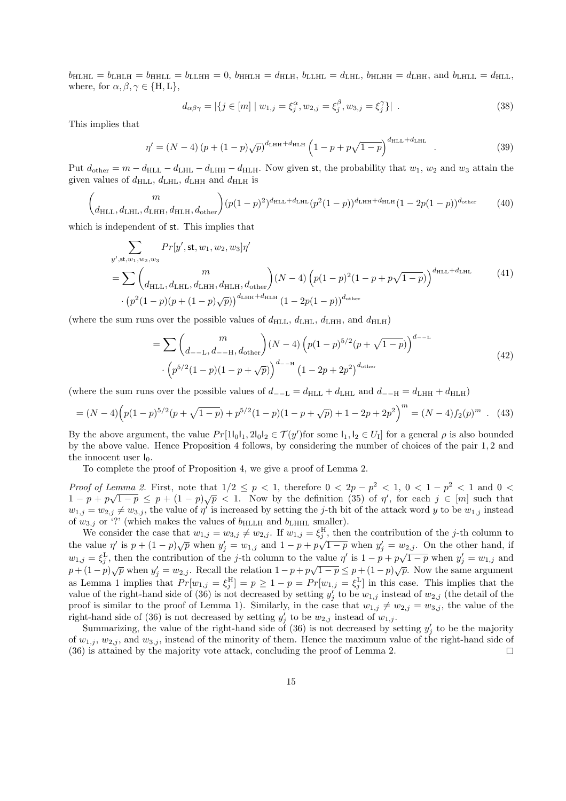$b_{\text{HLHL}} = b_{\text{LHLH}} = b_{\text{HHLL}} = b_{\text{LLHH}} = 0$ ,  $b_{\text{HHLH}} = d_{\text{HHH}}$ ,  $b_{\text{LLHL}} = d_{\text{LHL}}$ ,  $b_{\text{HLHH}} = d_{\text{LHH}}$ , and  $b_{\text{LHLL}} = d_{\text{HLL}}$ , where, for  $\alpha, \beta, \gamma \in \{H, L\}$ ,

$$
d_{\alpha\beta\gamma} = |\{j \in [m] \mid w_{1,j} = \xi_j^{\alpha}, w_{2,j} = \xi_j^{\beta}, w_{3,j} = \xi_j^{\gamma}\}|.
$$
 (38)

This implies that

$$
\eta' = (N-4)(p + (1-p)\sqrt{p})^{d_{\text{LHH}} + d_{\text{HLH}}} \left(1 - p + p\sqrt{1-p}\right)^{d_{\text{HLL}} + d_{\text{LHL}}} \tag{39}
$$

Put  $d_{\text{other}} = m - d_{\text{HLL}} - d_{\text{LHL}} - d_{\text{LHH}} - d_{\text{HL}}$ . Now given st, the probability that  $w_1, w_2$  and  $w_3$  attain the given values of  $d_{\text{HLL}}$ ,  $d_{\text{LHL}}$ ,  $d_{\text{LHH}}$  and  $d_{\text{HLH}}$  is

$$
\binom{m}{d_{\text{HLL}}, d_{\text{LHL}}, d_{\text{LHH}}, d_{\text{HLL}}, d_{\text{other}}} (p(1-p)^2)^{d_{\text{HLL}} + d_{\text{LHL}}}(p^2(1-p))^{d_{\text{LHH}} + d_{\text{HLH}}} (1-2p(1-p))^{d_{\text{other}}} \tag{40}
$$

which is independent of st. This implies that

$$
\sum_{y',\text{st},w_1,w_2,w_3} Pr[y',\text{st},w_1,w_2,w_3]\eta'
$$
\n
$$
= \sum \binom{m}{d_{\text{HLL}},d_{\text{LHL}},d_{\text{LHH}},d_{\text{HLL}},d_{\text{HLL}},d_{\text{HLL}},d_{\text{HLL}}}
$$
\n
$$
\cdot (p^2(1-p)(p+(1-p)\sqrt{p}))^{d_{\text{LHH}}+d_{\text{HLL}}} (1-2p(1-p))^{d_{\text{other}}} \tag{41}
$$

(where the sum runs over the possible values of  $d_{\text{HLL}}$ ,  $d_{\text{LHL}}$ ,  $d_{\text{LHH}}$ , and  $d_{\text{HLL}}$ )

$$
= \sum \binom{m}{d_{-L}, d_{-H}, d_{\text{other}}} (N-4) \left( p(1-p)^{5/2} (p + \sqrt{1-p}) \right)^{d_{-L}} \cdot \left( p^{5/2} (1-p)(1-p+\sqrt{p}) \right)^{d_{-H}} (1-2p+2p^2)^{d_{\text{other}}} \tag{42}
$$

(where the sum runs over the possible values of  $d$ <sub>−−</sub>L =  $d_{\text{HLL}} + d_{\text{LHL}}$  and  $d$ <sub>−−H</sub> =  $d_{\text{LHH}} + d_{\text{HLH}}$ )

$$
= (N-4)\left(p(1-p)^{5/2}(p+\sqrt{1-p})+p^{5/2}(1-p)(1-p+\sqrt{p})+1-2p+2p^2\right)^m = (N-4)f_2(p)^m \quad (43)
$$

By the above argument, the value  $Pr[1l_0l_1, 2l_0l_2 \in \mathcal{T}(y')$  for some  $l_1, l_2 \in U_I]$  for a general  $\rho$  is also bounded by the above value. Hence Proposition 4 follows, by considering the number of choices of the pair 1*,* 2 and the innocent user  $I_0$ .

To complete the proof of Proposition 4, we give a proof of Lemma 2.

*Proof of Lemma 2.* First, note that  $1/2 \leq p < 1$ , therefore  $0 < 2p - p^2 < 1$ ,  $0 < 1 - p^2 < 1$  and  $0 <$  $1 - p + p\sqrt{1-p} \leq p + (1 - p)\sqrt{p} < 1$ . Now by the definition (35) of  $\eta'$ , for each  $j \in [m]$  such that  $w_{1,j} = w_{2,j} \neq w_{3,j}$ , the value of *η*' is increased by setting the *j*-th bit of the attack word *y* to be  $w_{1,j}$  instead of  $w_{3,j}$  or '?' (which makes the values of  $b_{\text{HLLH}}$  and  $b_{\text{LHHL}}$  smaller).

We consider the case that  $w_{1,j} = w_{3,j} \neq w_{2,j}$ . If  $w_{1,j} = \xi_j^H$ , then the contribution of the *j*-th column to the value  $\eta'$  is  $p + (1 - p)\sqrt{p}$  when  $y'_j = w_{1,j}$  and  $1 - p + p\sqrt{1 - p}$  when  $y'_j = w_{2,j}$ . On the other hand, if  $w_{1,j} = \xi_j^L$ , then the contribution of the *j*-th column to the value  $\eta'$  is  $1 - p + p\sqrt{1-p}$  when  $y'_j = w_{1,j}$  and  $w_{1,j} = \xi_j^L$ , then the contribution of the *j*-th column to the value  $\eta'$  is  $1 - p + p\sqrt{1-p}$  when  $y'_j = w_{$  $p + (1-p)\sqrt{p}$  when  $y'_j = w_{2,j}$ . Recall the relation  $1 - p + p\sqrt{1-p} \le p + (1-p)\sqrt{p}$ . Now the same argument as Lemma 1 implies that  $Pr[w_{1,j} = \xi_j^H] = p \ge 1 - p = Pr[w_{1,j} = \xi_j^L]$  in this case. This implies that the value of the right-hand side of (36) is not decreased by setting  $y'_{j}$  to be  $w_{1,j}$  instead of  $w_{2,j}$  (the detail of the proof is similar to the proof of Lemma 1). Similarly, in the case that  $w_{1,j} \neq w_{2,j} = w_{3,j}$ , the value of the right-hand side of (36) is not decreased by setting  $y'_{j}$  to be  $w_{2,j}$  instead of  $w_{1,j}$ .

Summarizing, the value of the right-hand side of  $(36)$  is not decreased by setting  $y'_{j}$  to be the majority of  $w_{1,j}$ ,  $w_{2,j}$ , and  $w_{3,j}$ , instead of the minority of them. Hence the maximum value of the right-hand side of (36) is attained by the majority vote attack, concluding the proof of Lemma 2.  $\Box$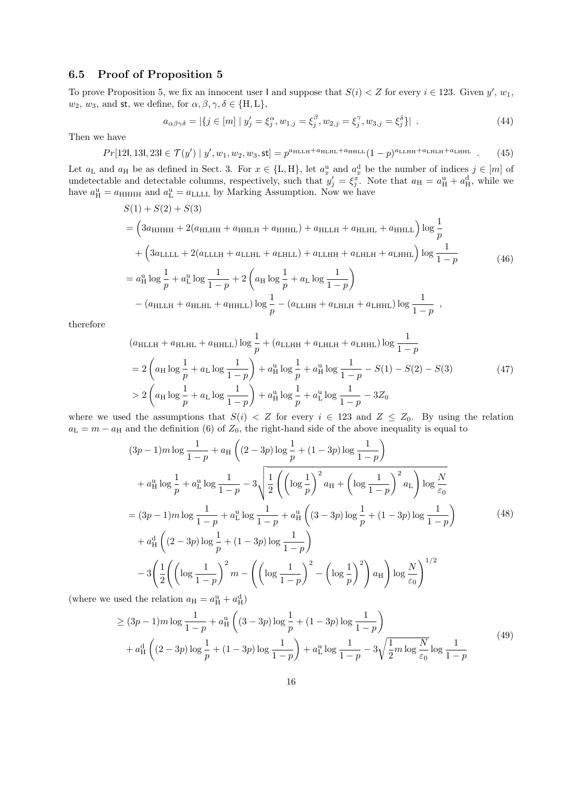### **6.5 Proof of Proposition 5**

To prove Proposition 5, we fix an innocent user I and suppose that  $S(i) < Z$  for every  $i \in 123$ . Given  $y'$ ,  $w_1$ ,  $w_2, w_3$ , and st, we define, for  $\alpha, \beta, \gamma, \delta \in \{H, L\}$ ,

$$
a_{\alpha\beta\gamma\delta} = |\{j \in [m] \mid y'_j = \xi_j^{\alpha}, w_{1,j} = \xi_j^{\beta}, w_{2,j} = \xi_j^{\gamma}, w_{3,j} = \xi_j^{\delta}\}|.
$$
 (44)

Then we have

$$
Pr[12l, 13l, 23l \in \mathcal{T}(y') \mid y', w_1, w_2, w_3, \text{st}] = p^{a_{\text{HLLH}} + a_{\text{HLHL}} + a_{\text{HHLL}}}(1-p)^{a_{\text{LLHH}} + a_{\text{LHH}} + a_{\text{LHHL}}}.
$$
 (45)

Let  $a_L$  and  $a_H$  be as defined in Sect. 3. For  $x \in \{L, H\}$ , let  $a_x^u$  and  $a_x^d$  be the number of indices  $j \in [m]$  of undetectable and detectable columns, respectively, such that  $y'_j = \xi_j^x$ . Note that  $a_H = a_H^u + a_H^d$ , while we have  $a_{\rm H}^{\rm u} = a_{\rm HHHH}$  and  $a_{\rm L}^{\rm u} = a_{\rm LLLL}$  by Marking Assumption. Now we have

$$
S(1) + S(2) + S(3)
$$
  
=  $\left(3a_{HHHH} + 2(a_{HLHH} + a_{HHLH} + a_{HHHL}) + a_{HLLH} + a_{HLHL} + a_{HHLL}\right) \log \frac{1}{p}$   
+  $\left(3a_{LLLL} + 2(a_{LLLH} + a_{LLHL} + a_{LHLL}) + a_{LLHH} + a_{LHHH} + a_{LHHL}\right) \log \frac{1}{1-p}$  (46)  
=  $a_H^u \log \frac{1}{p} + a_L^u \log \frac{1}{1-p} + 2\left(a_H \log \frac{1}{p} + a_L \log \frac{1}{1-p}\right)$   
-  $(a_{HLLH} + a_{HLHL} + a_{HHLL}) \log \frac{1}{p} - (a_{LLHH} + a_{LHLH} + a_{LHHL}) \log \frac{1}{1-p}$ ,

therefore

$$
(a_{\text{HLLH}} + a_{\text{HLHL}} + a_{\text{HHLL}}) \log \frac{1}{p} + (a_{\text{LLHH}} + a_{\text{LHLH}} + a_{\text{LHHL}}) \log \frac{1}{1 - p}
$$
  
=  $2 \left( a_{\text{H}} \log \frac{1}{p} + a_{\text{L}} \log \frac{1}{1 - p} \right) + a_{\text{H}}^{\text{u}} \log \frac{1}{p} + a_{\text{H}}^{\text{u}} \log \frac{1}{1 - p} - S(1) - S(2) - S(3)$  (47)  
>  $2 \left( a_{\text{H}} \log \frac{1}{p} + a_{\text{L}} \log \frac{1}{1 - p} \right) + a_{\text{H}}^{\text{u}} \log \frac{1}{p} + a_{\text{L}}^{\text{u}} \log \frac{1}{1 - p} - 3Z_0$ 

where we used the assumptions that  $S(i) < Z$  for every  $i \in 123$  and  $Z \leq Z_0$ . By using the relation  $a<sub>L</sub> = m - a<sub>H</sub>$  and the definition (6) of  $Z<sub>0</sub>$ , the right-hand side of the above inequality is equal to

$$
(3p-1)m \log \frac{1}{1-p} + a_{\text{H}} \left( (2-3p) \log \frac{1}{p} + (1-3p) \log \frac{1}{1-p} \right)
$$
  
+  $a_{\text{H}}^{\text{u}} \log \frac{1}{p} + a_{\text{L}}^{\text{u}} \log \frac{1}{1-p} - 3 \sqrt{\frac{1}{2} \left( \left( \log \frac{1}{p} \right)^2 a_{\text{H}} + \left( \log \frac{1}{1-p} \right)^2 a_{\text{L}} \right) \log \frac{N}{\varepsilon_0}}$   
=  $(3p-1)m \log \frac{1}{1-p} + a_{\text{L}}^{\text{u}} \log \frac{1}{1-p} + a_{\text{H}}^{\text{u}} \left( (3-3p) \log \frac{1}{p} + (1-3p) \log \frac{1}{1-p} \right)$   
+  $a_{\text{H}}^{\text{d}} \left( (2-3p) \log \frac{1}{p} + (1-3p) \log \frac{1}{1-p} \right)$   
-  $3 \left( \frac{1}{2} \left( \left( \log \frac{1}{1-p} \right)^2 m - \left( \left( \log \frac{1}{1-p} \right)^2 - \left( \log \frac{1}{p} \right)^2 \right) a_{\text{H}} \right) \log \frac{N}{\varepsilon_0} \right)^{1/2}$   
and the relation  $g_{\text{H}} = a^{\text{u}} + a^{\text{d}}.$ 

(where we used the relation  $a_H = a_H^u + a_H^d$ )

$$
\geq (3p - 1)m \log \frac{1}{1 - p} + a_H^u \left( (3 - 3p) \log \frac{1}{p} + (1 - 3p) \log \frac{1}{1 - p} \right) + a_H^d \left( (2 - 3p) \log \frac{1}{p} + (1 - 3p) \log \frac{1}{1 - p} \right) + a_L^u \log \frac{1}{1 - p} - 3\sqrt{\frac{1}{2}m \log \frac{N}{\varepsilon_0}} \log \frac{1}{1 - p}
$$
(49)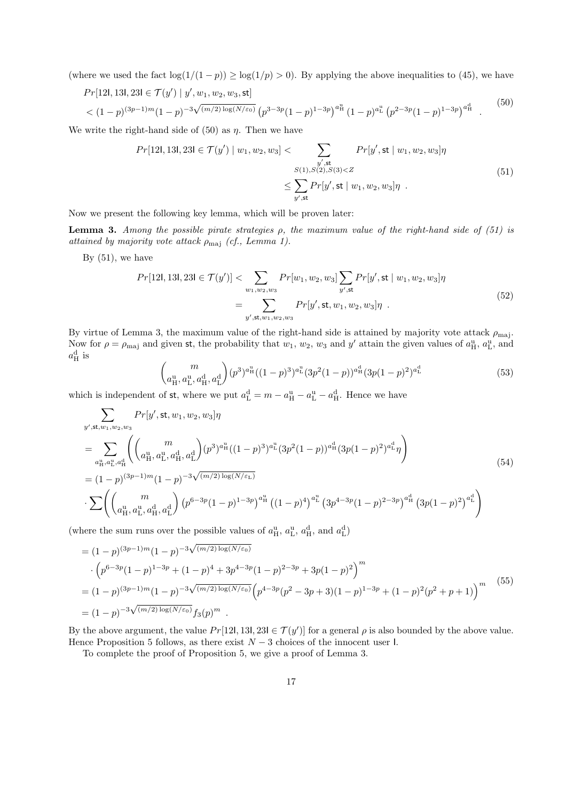(where we used the fact  $\log(1/(1-p)) \ge \log(1/p) > 0$ ). By applying the above inequalities to (45), we have

$$
Pr[12l, 13l, 23l \in \mathcal{T}(y') \mid y', w_1, w_2, w_3, \text{st}]
$$
  
< 
$$
< (1-p)^{(3p-1)m} (1-p)^{-3\sqrt{(m/2)\log(N/\varepsilon_0)}} \left( p^{3-3p} (1-p)^{1-3p} \right)^{a_H^u} (1-p)^{a_L^u} \left( p^{2-3p} (1-p)^{1-3p} \right)^{a_H^d}.
$$
 (50)

We write the right-hand side of  $(50)$  as  $\eta$ . Then we have

$$
Pr[12l, 13l, 23l \in \mathcal{T}(y') \mid w_1, w_2, w_3] < \sum_{\substack{y', \text{st} \\ S(1), S(2), S(3) < Z}} Pr[y', \text{st} \mid w_1, w_2, w_3] \eta \\
&\leq \sum_{y', \text{st}} Pr[y', \text{st} \mid w_1, w_2, w_3] \eta \tag{51}
$$

Now we present the following key lemma, which will be proven later:

**Lemma 3.** *Among the possible pirate strategies ρ, the maximum value of the right-hand side of (51) is attained by majority vote attack ρ*maj *(cf., Lemma 1).*

By  $(51)$ , we have

$$
Pr[12l, 13l, 23l \in \mathcal{T}(y')] < \sum_{w_1, w_2, w_3} Pr[w_1, w_2, w_3] \sum_{y', \text{st}} Pr[y', \text{st} \mid w_1, w_2, w_3] \eta
$$
\n
$$
= \sum_{y', \text{st}, w_1, w_2, w_3} Pr[y', \text{st}, w_1, w_2, w_3] \eta \tag{52}
$$

By virtue of Lemma 3, the maximum value of the right-hand side is attained by majority vote attack *ρ*maj. Now for  $\rho = \rho_{\text{maj}}$  and given st, the probability that  $w_1, w_2, w_3$  and  $y'$  attain the given values of  $a_{\text{H}}^{\text{u}}, a_{\text{L}}^{\text{u}},$  and  $a^{\rm d}_{\rm H}$  is

$$
\binom{m}{a_{\rm H}^{\rm u}, a_{\rm L}^{\rm u}, a_{\rm H}^{\rm d}} (p^3)^{a_{\rm H}^{\rm u}}((1-p)^3)^{a_{\rm L}^{\rm u}}(3p^2(1-p))^{a_{\rm H}^{\rm d}}(3p(1-p)^2)^{a_{\rm L}^{\rm d}}\tag{53}
$$

which is independent of st, where we put  $a<sub>L</sub><sup>d</sup> = m - a<sub>H</sub><sup>u</sup> - a<sub>L</sub><sup>u</sup> - a<sub>H</sub><sup>d</sup>$ . Hence we have

$$
\sum_{y',\text{st},w_1,w_2,w_3} Pr[y',\text{st},w_1,w_2,w_3] \eta
$$
\n
$$
= \sum_{a_{\text{H}}^{\text{u}},a_{\text{L}}^{\text{u}},a_{\text{H}}^{\text{d}}} \left( \binom{m}{a_{\text{H}}^{\text{u}},a_{\text{L}}^{\text{u}},a_{\text{H}}^{\text{d}},a_{\text{L}}^{\text{d}}} (p^3)^{a_{\text{H}}^{\text{u}}} ((1-p)^3)^{a_{\text{L}}^{\text{u}}} (3p^2(1-p))^{a_{\text{H}}^{\text{d}}} (3p(1-p)^2)^{a_{\text{L}}^{\text{d}}} \eta \right)
$$
\n
$$
= (1-p)^{(3p-1)m} (1-p)^{-3\sqrt{(m/2)\log(N/\epsilon_{\text{L}})}}
$$
\n
$$
\cdot \sum \left( \binom{m}{a_{\text{H}}^{\text{u}},a_{\text{L}}^{\text{u}},a_{\text{H}}^{\text{d}},a_{\text{L}}^{\text{d}} \right) (p^{6-3p}(1-p)^{1-3p})^{a_{\text{H}}^{\text{u}}} ((1-p)^4)^{a_{\text{L}}^{\text{u}}} (3p^{4-3p}(1-p)^{2-3p})^{a_{\text{H}}^{\text{d}}} (3p(1-p)^2)^{a_{\text{L}}^{\text{d}}} \right)
$$
\n(54)

(where the sum runs over the possible values of  $a_{\rm H}^{\rm u}$ ,  $a_{\rm L}^{\rm u}$ ,  $a_{\rm H}^{\rm d}$ , and  $a_{\rm L}^{\rm d}$ )

$$
= (1-p)^{(3p-1)m} (1-p)^{-3\sqrt{(m/2)\log(N/\epsilon_0)}}
$$

$$
\cdot \left(p^{6-3p} (1-p)^{1-3p} + (1-p)^4 + 3p^{4-3p} (1-p)^{2-3p} + 3p(1-p)^2\right)^m
$$

$$
= (1-p)^{(3p-1)m} (1-p)^{-3\sqrt{(m/2)\log(N/\epsilon_0)}} \left(p^{4-3p} (p^2-3p+3)(1-p)^{1-3p} + (1-p)^2 (p^2+p+1)\right)^m
$$

$$
= (1-p)^{-3\sqrt{(m/2)\log(N/\epsilon_0)}} f_3(p)^m.
$$

$$
(55)
$$

By the above argument, the value  $Pr[121, 131, 23] \in \mathcal{T}(y')$  for a general  $\rho$  is also bounded by the above value. Hence Proposition 5 follows, as there exist *N −* 3 choices of the innocent user I.

To complete the proof of Proposition 5, we give a proof of Lemma 3.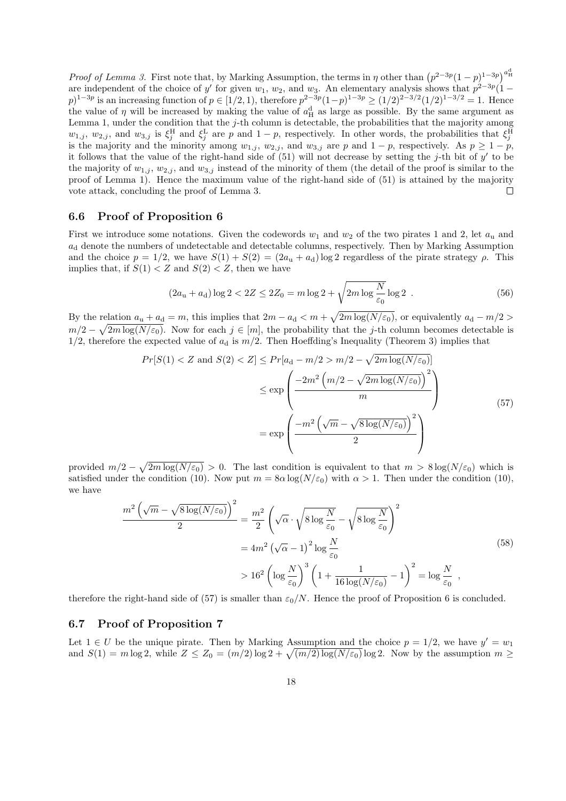*Proof of Lemma 3.* First note that, by Marking Assumption, the terms in *η* other than  $(p^{2-3p}(1-p)^{1-3p})^{a_H^d}$ are independent of the choice of *y'* for given  $w_1$ ,  $w_2$ , and  $w_3$ . An elementary analysis shows that  $p^{2-3p}(1-p)$  $(p)^{1-3p}$  is an increasing function of  $p \in [1/2, 1)$ , therefore  $p^{2-3p}(1-p)^{1-3p} \ge (1/2)^{2-3/2}(1/2)^{1-3/2} = 1$ . Hence the value of  $\eta$  will be increased by making the value of  $a_{\rm H}^{\rm d}$  as large as possible. By the same argument as Lemma 1, under the condition that the *j*-th column is detectable, the probabilities that the majority among  $w_{1,j}$ ,  $w_{2,j}$ , and  $w_{3,j}$  is  $\xi_j^H$  and  $\xi_j^L$  are *p* and  $1-p$ , respectively. In other words, the probabilities that  $\xi_j^H$ is the majority and the minority among  $w_{1,j}$ ,  $w_{2,j}$ , and  $w_{3,j}$  are *p* and  $1-p$ , respectively. As  $p \geq 1-p$ , it follows that the value of the right-hand side of (51) will not decrease by setting the *j*-th bit of *y ′* to be the majority of  $w_{1,j}$ ,  $w_{2,j}$ , and  $w_{3,j}$  instead of the minority of them (the detail of the proof is similar to the proof of Lemma 1). Hence the maximum value of the right-hand side of (51) is attained by the majority vote attack, concluding the proof of Lemma 3.  $\Box$ 

#### **6.6 Proof of Proposition 6**

First we introduce some notations. Given the codewords  $w_1$  and  $w_2$  of the two pirates 1 and 2, let  $a_u$  and  $a_{d}$  denote the numbers of undetectable and detectable columns, respectively. Then by Marking Assumption and the choice  $p = 1/2$ , we have  $S(1) + S(2) = (2a<sub>u</sub> + a<sub>d</sub>) \log 2$  regardless of the pirate strategy  $\rho$ . This implies that, if  $S(1) < Z$  and  $S(2) < Z$ , then we have

$$
(2au + ad) \log 2 < 2Z \le 2Z0 = m \log 2 + \sqrt{2m \log \frac{N}{\varepsilon_0}} \log 2 .
$$
 (56)

By the relation  $a_u + a_d = m$ , this implies that  $2m - a_d < m + \sqrt{2m \log(N/\varepsilon_0)}$ , or equivalently  $a_d - m/2 >$  $m/2 - \sqrt{2m \log(N/\varepsilon_0)}$ . Now for each  $j \in [m]$ , the probability that the *j*-th column becomes detectable is  $1/2$ , therefore the expected value of  $a_d$  is  $m/2$ . Then Hoeffding's Inequality (Theorem 3) implies that

$$
Pr[S(1) < Z \text{ and } S(2) < Z] \le Pr[a_d - m/2 > m/2 - \sqrt{2m \log(N/\varepsilon_0)}]
$$
\n
$$
\le \exp\left(\frac{-2m^2 \left(m/2 - \sqrt{2m \log(N/\varepsilon_0)}\right)^2}{m}\right)
$$
\n
$$
= \exp\left(\frac{-m^2 \left(\sqrt{m} - \sqrt{8\log(N/\varepsilon_0)}\right)^2}{2}\right)
$$
\n
$$
(57)
$$

provided  $m/2 - \sqrt{2m \log(N/\varepsilon_0)} > 0$ . The last condition is equivalent to that  $m > 8 \log(N/\varepsilon_0)$  which is satisfied under the condition (10). Now put  $m = 8\alpha \log(N/\varepsilon_0)$  with  $\alpha > 1$ . Then under the condition (10), we have

$$
\frac{m^2\left(\sqrt{m}-\sqrt{8\log(N/\varepsilon_0)}\right)^2}{2} = \frac{m^2}{2}\left(\sqrt{\alpha}\cdot\sqrt{8\log\frac{N}{\varepsilon_0}}-\sqrt{8\log\frac{N}{\varepsilon_0}}\right)^2
$$

$$
= 4m^2\left(\sqrt{\alpha}-1\right)^2\log\frac{N}{\varepsilon_0}
$$

$$
> 16^2\left(\log\frac{N}{\varepsilon_0}\right)^3\left(1+\frac{1}{16\log(N/\varepsilon_0)}-1\right)^2 = \log\frac{N}{\varepsilon_0},\tag{58}
$$

therefore the right-hand side of (57) is smaller than  $\varepsilon_0/N$ . Hence the proof of Proposition 6 is concluded.

### **6.7 Proof of Proposition 7**

Let  $1 \in U$  be the unique pirate. Then by Marking Assumption and the choice  $p = 1/2$ , we have  $y' = w_1$ and  $S(1) = m \log 2$ , while  $Z \le Z_0 = (m/2) \log 2 + \sqrt{(m/2) \log(N/\varepsilon_0)} \log 2$ . Now by the assumption  $m \ge$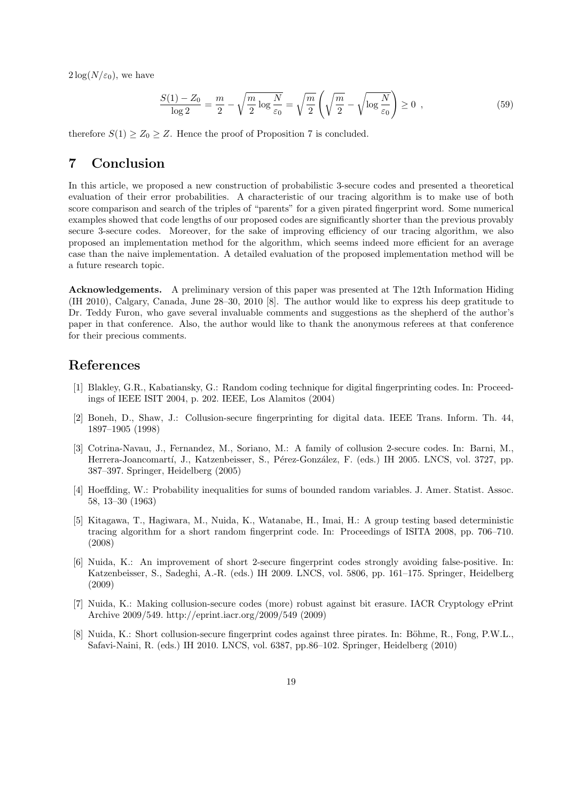$2\log(N/\varepsilon_0)$ , we have

$$
\frac{S(1) - Z_0}{\log 2} = \frac{m}{2} - \sqrt{\frac{m}{2} \log \frac{N}{\varepsilon_0}} = \sqrt{\frac{m}{2}} \left( \sqrt{\frac{m}{2}} - \sqrt{\log \frac{N}{\varepsilon_0}} \right) \ge 0 ,\qquad (59)
$$

therefore  $S(1) \geq Z_0 \geq Z$ . Hence the proof of Proposition 7 is concluded.

# **7 Conclusion**

In this article, we proposed a new construction of probabilistic 3-secure codes and presented a theoretical evaluation of their error probabilities. A characteristic of our tracing algorithm is to make use of both score comparison and search of the triples of "parents" for a given pirated fingerprint word. Some numerical examples showed that code lengths of our proposed codes are significantly shorter than the previous provably secure 3-secure codes. Moreover, for the sake of improving efficiency of our tracing algorithm, we also proposed an implementation method for the algorithm, which seems indeed more efficient for an average case than the naive implementation. A detailed evaluation of the proposed implementation method will be a future research topic.

**Acknowledgements.** A preliminary version of this paper was presented at The 12th Information Hiding (IH 2010), Calgary, Canada, June 28–30, 2010 [8]. The author would like to express his deep gratitude to Dr. Teddy Furon, who gave several invaluable comments and suggestions as the shepherd of the author's paper in that conference. Also, the author would like to thank the anonymous referees at that conference for their precious comments.

# **References**

- [1] Blakley, G.R., Kabatiansky, G.: Random coding technique for digital fingerprinting codes. In: Proceedings of IEEE ISIT 2004, p. 202. IEEE, Los Alamitos (2004)
- [2] Boneh, D., Shaw, J.: Collusion-secure fingerprinting for digital data. IEEE Trans. Inform. Th. 44, 1897–1905 (1998)
- [3] Cotrina-Navau, J., Fernandez, M., Soriano, M.: A family of collusion 2-secure codes. In: Barni, M., Herrera-Joancomartí, J., Katzenbeisser, S., Pérez-González, F. (eds.) IH 2005. LNCS, vol. 3727, pp. 387–397. Springer, Heidelberg (2005)
- [4] Hoeffding, W.: Probability inequalities for sums of bounded random variables. J. Amer. Statist. Assoc. 58, 13–30 (1963)
- [5] Kitagawa, T., Hagiwara, M., Nuida, K., Watanabe, H., Imai, H.: A group testing based deterministic tracing algorithm for a short random fingerprint code. In: Proceedings of ISITA 2008, pp. 706–710. (2008)
- [6] Nuida, K.: An improvement of short 2-secure fingerprint codes strongly avoiding false-positive. In: Katzenbeisser, S., Sadeghi, A.-R. (eds.) IH 2009. LNCS, vol. 5806, pp. 161–175. Springer, Heidelberg (2009)
- [7] Nuida, K.: Making collusion-secure codes (more) robust against bit erasure. IACR Cryptology ePrint Archive 2009/549. http://eprint.iacr.org/2009/549 (2009)
- [8] Nuida, K.: Short collusion-secure fingerprint codes against three pirates. In: Böhme, R., Fong, P.W.L., Safavi-Naini, R. (eds.) IH 2010. LNCS, vol. 6387, pp.86–102. Springer, Heidelberg (2010)